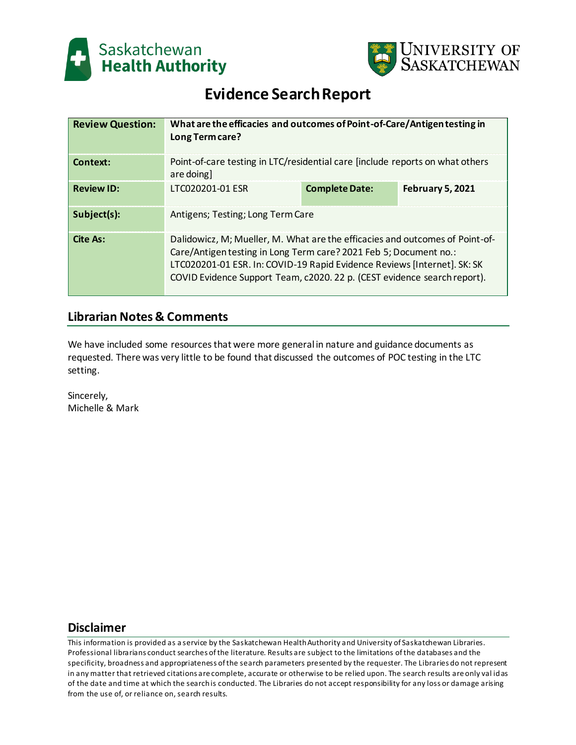



# **Evidence Search Report**

| <b>Review Question:</b> | What are the efficacies and outcomes of Point-of-Care/Antigen testing in<br>Long Term care?                                                                                                                                                                                                               |                       |                         |
|-------------------------|-----------------------------------------------------------------------------------------------------------------------------------------------------------------------------------------------------------------------------------------------------------------------------------------------------------|-----------------------|-------------------------|
| Context:                | Point-of-care testing in LTC/residential care [include reports on what others<br>are doing]                                                                                                                                                                                                               |                       |                         |
| <b>Review ID:</b>       | LTC020201-01 ESR                                                                                                                                                                                                                                                                                          | <b>Complete Date:</b> | <b>February 5, 2021</b> |
| Subject(s):             | Antigens; Testing; Long Term Care                                                                                                                                                                                                                                                                         |                       |                         |
| Cite As:                | Dalidowicz, M; Mueller, M. What are the efficacies and outcomes of Point-of-<br>Care/Antigen testing in Long Term care? 2021 Feb 5; Document no.:<br>LTC020201-01 ESR. In: COVID-19 Rapid Evidence Reviews [Internet]. SK: SK<br>COVID Evidence Support Team, c2020. 22 p. (CEST evidence search report). |                       |                         |

# **Librarian Notes & Comments**

We have included some resources that were more general in nature and guidance documents as requested. There was very little to be found that discussed the outcomes of POC testing in the LTC setting.

Sincerely, Michelle & Mark

# **Disclaimer**

This information is provided as a service by the Saskatchewan Health Authority and University of Saskatchewan Libraries. Professional librarians conduct searches of the literature. Results are subject to the limitations of the databases and the specificity, broadness and appropriateness of the search parameters presented by the requester. The Libraries do not represent in any matter that retrieved citations are complete, accurate or otherwise to be relied upon. The search results are only val id as of the date and time at which the search is conducted. The Libraries do not accept responsibility for any loss or damage arising from the use of, or reliance on, search results.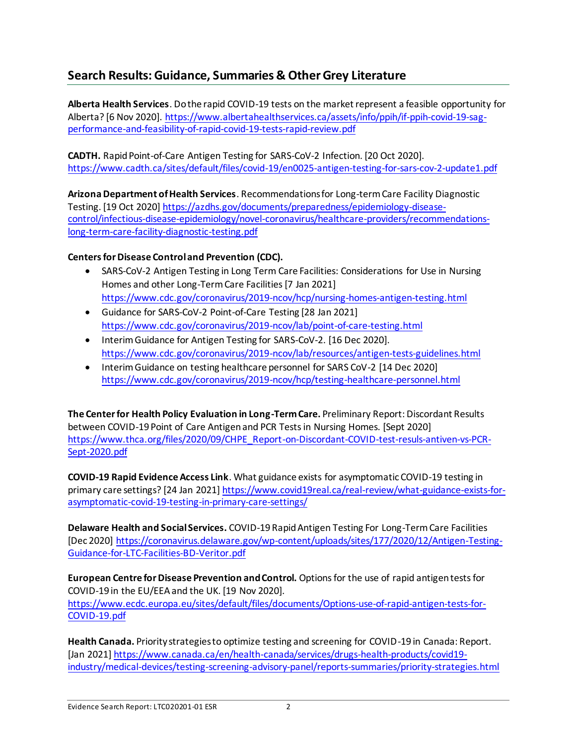# **Search Results: Guidance, Summaries & Other Grey Literature**

**Alberta Health Services**. Do the rapid COVID-19 tests on the market represent a feasible opportunity for Alberta? [6 Nov 2020]. [https://www.albertahealthservices.ca/assets/info/ppih/if-ppih-covid-19-sag](https://www.albertahealthservices.ca/assets/info/ppih/if-ppih-covid-19-sag-performance-and-feasibility-of-rapid-covid-19-tests-rapid-review.pdf)[performance-and-feasibility-of-rapid-covid-19-tests-rapid-review.pdf](https://www.albertahealthservices.ca/assets/info/ppih/if-ppih-covid-19-sag-performance-and-feasibility-of-rapid-covid-19-tests-rapid-review.pdf)

**CADTH.** Rapid Point-of-Care Antigen Testing for SARS-CoV-2 Infection. [20 Oct 2020]. <https://www.cadth.ca/sites/default/files/covid-19/en0025-antigen-testing-for-sars-cov-2-update1.pdf>

**Arizona Department of Health Services**. Recommendations for Long-term Care Facility Diagnostic Testing. [19 Oct 2020] [https://azdhs.gov/documents/preparedness/epidemiology-disease](https://azdhs.gov/documents/preparedness/epidemiology-disease-control/infectious-disease-epidemiology/novel-coronavirus/healthcare-providers/recommendations-long-term-care-facility-diagnostic-testing.pdf)[control/infectious-disease-epidemiology/novel-coronavirus/healthcare-providers/recommendations](https://azdhs.gov/documents/preparedness/epidemiology-disease-control/infectious-disease-epidemiology/novel-coronavirus/healthcare-providers/recommendations-long-term-care-facility-diagnostic-testing.pdf)[long-term-care-facility-diagnostic-testing.pdf](https://azdhs.gov/documents/preparedness/epidemiology-disease-control/infectious-disease-epidemiology/novel-coronavirus/healthcare-providers/recommendations-long-term-care-facility-diagnostic-testing.pdf)

## **Centers for Disease Control and Prevention (CDC).**

- SARS-CoV-2 Antigen Testing in Long Term Care Facilities: Considerations for Use in Nursing Homes and other Long-Term Care Facilities [7 Jan 2021] <https://www.cdc.gov/coronavirus/2019-ncov/hcp/nursing-homes-antigen-testing.html>
- Guidance for SARS-CoV-2 Point-of-Care Testing [28 Jan 2021] <https://www.cdc.gov/coronavirus/2019-ncov/lab/point-of-care-testing.html>
- Interim Guidance for Antigen Testing for SARS-CoV-2. [16 Dec 2020]. <https://www.cdc.gov/coronavirus/2019-ncov/lab/resources/antigen-tests-guidelines.html>
- Interim Guidance on testing healthcare personnel for SARS CoV-2 [14 Dec 2020] <https://www.cdc.gov/coronavirus/2019-ncov/hcp/testing-healthcare-personnel.html>

**The Center for Health Policy Evaluation in Long-Term Care.** Preliminary Report: Discordant Results between COVID-19 Point of Care Antigen and PCR Tests in Nursing Homes. [Sept 2020] [https://www.thca.org/files/2020/09/CHPE\\_Report-on-Discordant-COVID-test-resuls-antiven-vs-PCR-](https://www.thca.org/files/2020/09/CHPE_Report-on-Discordant-COVID-test-resuls-antiven-vs-PCR-Sept-2020.pdf)[Sept-2020.pdf](https://www.thca.org/files/2020/09/CHPE_Report-on-Discordant-COVID-test-resuls-antiven-vs-PCR-Sept-2020.pdf)

**COVID-19 Rapid Evidence Access Link**. What guidance exists for asymptomatic COVID-19 testing in primary care settings? [24 Jan 2021[\] https://www.covid19real.ca/real-review/what-guidance-exists-for](https://www.covid19real.ca/real-review/what-guidance-exists-for-asymptomatic-covid-19-testing-in-primary-care-settings/)[asymptomatic-covid-19-testing-in-primary-care-settings/](https://www.covid19real.ca/real-review/what-guidance-exists-for-asymptomatic-covid-19-testing-in-primary-care-settings/)

**Delaware Health and Social Services.** COVID-19 Rapid Antigen Testing For Long-Term Care Facilities [Dec 2020] [https://coronavirus.delaware.gov/wp-content/uploads/sites/177/2020/12/Antigen-Testing-](https://coronavirus.delaware.gov/wp-content/uploads/sites/177/2020/12/Antigen-Testing-Guidance-for-LTC-Facilities-BD-Veritor.pdf)[Guidance-for-LTC-Facilities-BD-Veritor.pdf](https://coronavirus.delaware.gov/wp-content/uploads/sites/177/2020/12/Antigen-Testing-Guidance-for-LTC-Facilities-BD-Veritor.pdf)

**European Centre for Disease Prevention and Control.** Options for the use of rapid antigen tests for COVID-19 in the EU/EEA and the UK. [19 Nov 2020]. [https://www.ecdc.europa.eu/sites/default/files/documents/Options-use-of-rapid-antigen-tests-for-](https://www.ecdc.europa.eu/sites/default/files/documents/Options-use-of-rapid-antigen-tests-for-COVID-19.pdf)[COVID-19.pdf](https://www.ecdc.europa.eu/sites/default/files/documents/Options-use-of-rapid-antigen-tests-for-COVID-19.pdf)

**Health Canada.** Priority strategies to optimize testing and screening for COVID-19 in Canada: Report. [Jan 2021[\] https://www.canada.ca/en/health-canada/services/drugs-health-products/covid19](https://www.canada.ca/en/health-canada/services/drugs-health-products/covid19-industry/medical-devices/testing-screening-advisory-panel/reports-summaries/priority-strategies.html) [industry/medical-devices/testing-screening-advisory-panel/reports-summaries/priority-strategies.html](https://www.canada.ca/en/health-canada/services/drugs-health-products/covid19-industry/medical-devices/testing-screening-advisory-panel/reports-summaries/priority-strategies.html)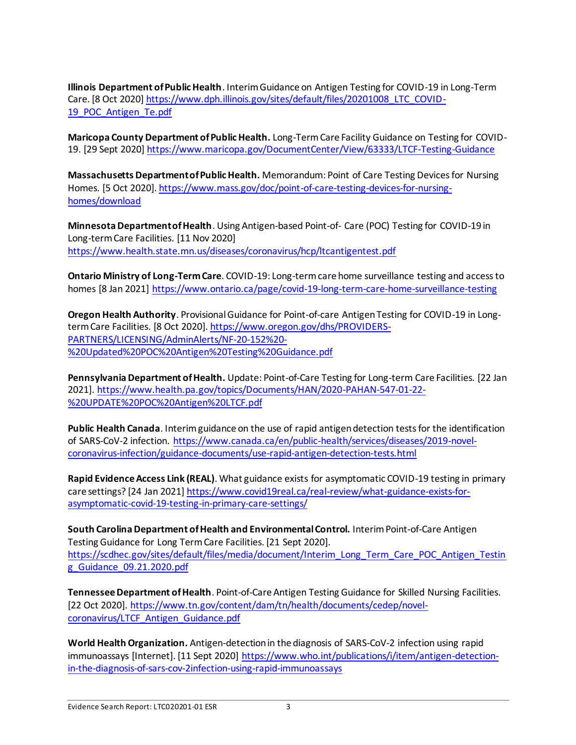**Illinois Department of Public Health**. Interim Guidance on Antigen Testing for COVID-19 in Long-Term Care. [8 Oct 2020[\] https://www.dph.illinois.gov/sites/default/files/20201008\\_LTC\\_COVID-](https://www.dph.illinois.gov/sites/default/files/20201008_LTC_COVID-19_POC_Antigen_Te.pdf)[19\\_POC\\_Antigen\\_Te.pdf](https://www.dph.illinois.gov/sites/default/files/20201008_LTC_COVID-19_POC_Antigen_Te.pdf)

**Maricopa County Department of Public Health.** Long-Term Care Facility Guidance on Testing for COVID-19. [29 Sept 2020]<https://www.maricopa.gov/DocumentCenter/View/63333/LTCF-Testing-Guidance>

**Massachusetts Department of Public Health.** Memorandum: Point of Care Testing Devices for Nursing Homes. [5 Oct 2020]. [https://www.mass.gov/doc/point-of-care-testing-devices-for-nursing](https://www.mass.gov/doc/point-of-care-testing-devices-for-nursing-homes/download)[homes/download](https://www.mass.gov/doc/point-of-care-testing-devices-for-nursing-homes/download)

**Minnesota Department of Health**. Using Antigen-based Point-of- Care (POC) Testing for COVID-19 in Long-term Care Facilities. [11 Nov 2020] <https://www.health.state.mn.us/diseases/coronavirus/hcp/ltcantigentest.pdf>

**Ontario Ministry of Long-Term Care**. COVID-19: Long-term care home surveillance testing and access to homes [8 Jan 2021]<https://www.ontario.ca/page/covid-19-long-term-care-home-surveillance-testing>

**Oregon Health Authority**. Provisional Guidance for Point-of-care Antigen Testing for COVID-19 in Longterm Care Facilities. [8 Oct 2020][. https://www.oregon.gov/dhs/PROVIDERS-](https://www.oregon.gov/dhs/PROVIDERS-PARTNERS/LICENSING/AdminAlerts/NF-20-152%20-%20Updated%20POC%20Antigen%20Testing%20Guidance.pdf)[PARTNERS/LICENSING/AdminAlerts/NF-20-152%20-](https://www.oregon.gov/dhs/PROVIDERS-PARTNERS/LICENSING/AdminAlerts/NF-20-152%20-%20Updated%20POC%20Antigen%20Testing%20Guidance.pdf) [%20Updated%20POC%20Antigen%20Testing%20Guidance.pdf](https://www.oregon.gov/dhs/PROVIDERS-PARTNERS/LICENSING/AdminAlerts/NF-20-152%20-%20Updated%20POC%20Antigen%20Testing%20Guidance.pdf)

**Pennsylvania Department of Health.** Update: Point-of-Care Testing for Long-term Care Facilities. [22 Jan 2021]. [https://www.health.pa.gov/topics/Documents/HAN/2020-PAHAN-547-01-22-](https://www.health.pa.gov/topics/Documents/HAN/2020-PAHAN-547-01-22-%20UPDATE%20POC%20Antigen%20LTCF.pdf) [%20UPDATE%20POC%20Antigen%20LTCF.pdf](https://www.health.pa.gov/topics/Documents/HAN/2020-PAHAN-547-01-22-%20UPDATE%20POC%20Antigen%20LTCF.pdf)

**Public Health Canada**. Interim guidance on the use of rapid antigen detection tests for the identification of SARS-CoV-2 infection. [https://www.canada.ca/en/public-health/services/diseases/2019-novel](https://www.canada.ca/en/public-health/services/diseases/2019-novel-coronavirus-infection/guidance-documents/use-rapid-antigen-detection-tests.html)[coronavirus-infection/guidance-documents/use-rapid-antigen-detection-tests.html](https://www.canada.ca/en/public-health/services/diseases/2019-novel-coronavirus-infection/guidance-documents/use-rapid-antigen-detection-tests.html)

**Rapid Evidence Access Link (REAL)**. What guidance exists for asymptomatic COVID-19 testing in primary care settings? [24 Jan 2021[\] https://www.covid19real.ca/real-review/what-guidance-exists-for](https://www.covid19real.ca/real-review/what-guidance-exists-for-asymptomatic-covid-19-testing-in-primary-care-settings/)[asymptomatic-covid-19-testing-in-primary-care-settings/](https://www.covid19real.ca/real-review/what-guidance-exists-for-asymptomatic-covid-19-testing-in-primary-care-settings/)

**South Carolina Department of Health and Environmental Control.** Interim Point-of-Care Antigen Testing Guidance for Long Term Care Facilities. [21 Sept 2020]. [https://scdhec.gov/sites/default/files/media/document/Interim\\_Long\\_Term\\_Care\\_POC\\_Antigen\\_Testin](https://scdhec.gov/sites/default/files/media/document/Interim_Long_Term_Care_POC_Antigen_Testing_Guidance_09.21.2020.pdf) [g\\_Guidance\\_09.21.2020.pdf](https://scdhec.gov/sites/default/files/media/document/Interim_Long_Term_Care_POC_Antigen_Testing_Guidance_09.21.2020.pdf)

**Tennessee Department of Health**. Point-of-Care Antigen Testing Guidance for Skilled Nursing Facilities. [22 Oct 2020]. [https://www.tn.gov/content/dam/tn/health/documents/cedep/novel](https://www.tn.gov/content/dam/tn/health/documents/cedep/novel-coronavirus/LTCF_Antigen_Guidance.pdf)[coronavirus/LTCF\\_Antigen\\_Guidance.pdf](https://www.tn.gov/content/dam/tn/health/documents/cedep/novel-coronavirus/LTCF_Antigen_Guidance.pdf)

**World Health Organization.** Antigen-detection in the diagnosis of SARS-CoV-2 infection using rapid immunoassays [Internet]. [11 Sept 2020] [https://www.who.int/publications/i/item/antigen-detection](https://www.who.int/publications/i/item/antigen-detection-in-the-diagnosis-of-sars-cov-2infection-using-rapid-immunoassays)[in-the-diagnosis-of-sars-cov-2infection-using-rapid-immunoassays](https://www.who.int/publications/i/item/antigen-detection-in-the-diagnosis-of-sars-cov-2infection-using-rapid-immunoassays)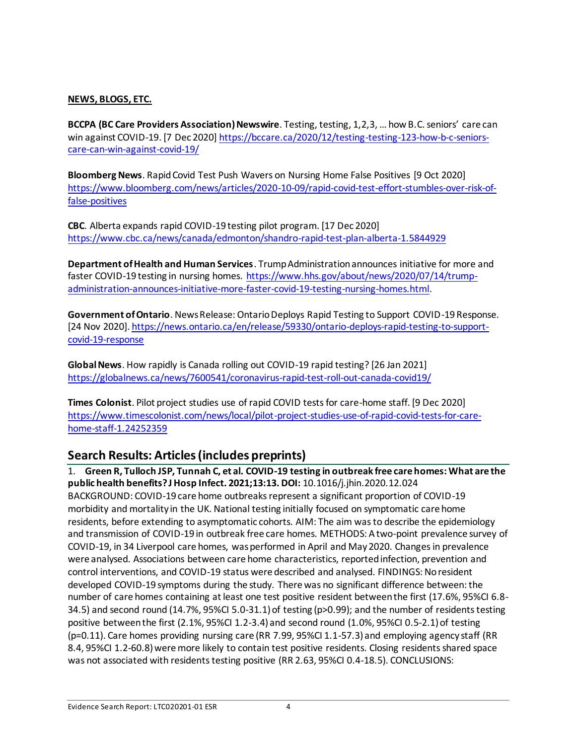### **NEWS, BLOGS, ETC.**

**BCCPA (BC Care Providers Association) Newswire**. Testing, testing, 1,2,3, … how B.C. seniors' care can win against COVID-19. [7 Dec 2020] [https://bccare.ca/2020/12/testing-testing-123-how-b-c-seniors](https://bccare.ca/2020/12/testing-testing-123-how-b-c-seniors-care-can-win-against-covid-19/)[care-can-win-against-covid-19/](https://bccare.ca/2020/12/testing-testing-123-how-b-c-seniors-care-can-win-against-covid-19/)

**Bloomberg News**. Rapid Covid Test Push Wavers on Nursing Home False Positives [9 Oct 2020] [https://www.bloomberg.com/news/articles/2020-10-09/rapid-covid-test-effort-stumbles-over-risk-of](https://www.bloomberg.com/news/articles/2020-10-09/rapid-covid-test-effort-stumbles-over-risk-of-false-positives)[false-positives](https://www.bloomberg.com/news/articles/2020-10-09/rapid-covid-test-effort-stumbles-over-risk-of-false-positives)

**CBC**. Alberta expands rapid COVID-19 testing pilot program. [17 Dec 2020] <https://www.cbc.ca/news/canada/edmonton/shandro-rapid-test-plan-alberta-1.5844929>

**Department of Health and Human Services**. Trump Administration announces initiative for more and faster COVID-19 testing in nursing homes. [https://www.hhs.gov/about/news/2020/07/14/trump](https://www.hhs.gov/about/news/2020/07/14/trump-administration-announces-initiative-more-faster-covid-19-testing-nursing-homes.html)[administration-announces-initiative-more-faster-covid-19-testing-nursing-homes.html.](https://www.hhs.gov/about/news/2020/07/14/trump-administration-announces-initiative-more-faster-covid-19-testing-nursing-homes.html) 

**Government of Ontario**. News Release: Ontario Deploys Rapid Testing to Support COVID-19 Response. [24 Nov 2020][. https://news.ontario.ca/en/release/59330/ontario-deploys-rapid-testing-to-support](https://news.ontario.ca/en/release/59330/ontario-deploys-rapid-testing-to-support-covid-19-response)[covid-19-response](https://news.ontario.ca/en/release/59330/ontario-deploys-rapid-testing-to-support-covid-19-response)

**Global News**. How rapidly is Canada rolling out COVID-19 rapid testing? [26 Jan 2021] <https://globalnews.ca/news/7600541/coronavirus-rapid-test-roll-out-canada-covid19/>

**Times Colonist**. Pilot project studies use of rapid COVID tests for care-home staff. [9 Dec 2020] [https://www.timescolonist.com/news/local/pilot-project-studies-use-of-rapid-covid-tests-for-care](https://www.timescolonist.com/news/local/pilot-project-studies-use-of-rapid-covid-tests-for-care-home-staff-1.24252359)[home-staff-1.24252359](https://www.timescolonist.com/news/local/pilot-project-studies-use-of-rapid-covid-tests-for-care-home-staff-1.24252359)

# **Search Results: Articles (includes preprints)**

1. **Green R, Tulloch JSP, Tunnah C, et al. COVID-19 testing in outbreak free care homes: What are the public health benefits? J Hosp Infect. 2021;13:13. DOI:** 10.1016/j.jhin.2020.12.024 BACKGROUND: COVID-19 care home outbreaks represent a significant proportion of COVID-19 morbidity and mortality in the UK. National testing initially focused on symptomatic care home residents, before extending to asymptomatic cohorts. AIM: The aim was to describe the epidemiology and transmission of COVID-19 in outbreak free care homes. METHODS: A two-point prevalence survey of COVID-19, in 34 Liverpool care homes, was performed in April and May 2020. Changes in prevalence were analysed. Associations between care home characteristics, reported infection, prevention and control interventions, and COVID-19 status were described and analysed. FINDINGS: No resident developed COVID-19 symptoms during the study. There was no significant difference between: the number of care homes containing at least one test positive resident between the first (17.6%, 95%CI 6.8- 34.5) and second round (14.7%, 95%CI 5.0-31.1) of testing (p>0.99); and the number of residents testing positive between the first (2.1%, 95%CI 1.2-3.4) and second round (1.0%, 95%CI 0.5-2.1) of testing (p=0.11). Care homes providing nursing care (RR 7.99, 95%CI 1.1-57.3) and employing agency staff (RR 8.4, 95%CI 1.2-60.8) were more likely to contain test positive residents. Closing residents shared space was not associated with residents testing positive (RR 2.63, 95%CI 0.4-18.5). CONCLUSIONS: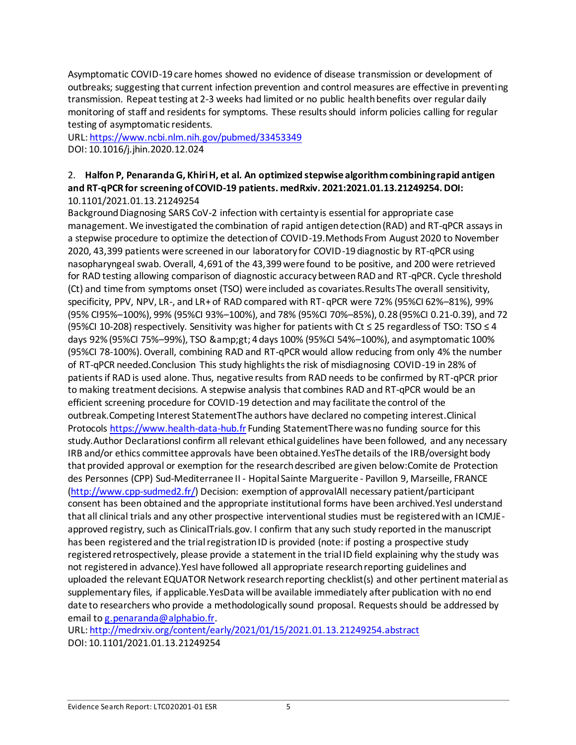Asymptomatic COVID-19 care homes showed no evidence of disease transmission or development of outbreaks; suggesting that current infection prevention and control measures are effective in preventing transmission. Repeat testing at 2-3 weeks had limited or no public health benefits over regular daily monitoring of staff and residents for symptoms. These results should inform policies calling for regular testing of asymptomatic residents.

URL[: https://www.ncbi.nlm.nih.gov/pubmed/33453349](https://www.ncbi.nlm.nih.gov/pubmed/33453349) DOI: 10.1016/j.jhin.2020.12.024

### 2. **Halfon P, Penaranda G, Khiri H, et al. An optimized stepwise algorithm combining rapid antigen and RT-qPCR for screening of COVID-19 patients. medRxiv. 2021:2021.01.13.21249254. DOI:** 10.1101/2021.01.13.21249254

Background Diagnosing SARS CoV-2 infection with certainty is essential for appropriate case management. We investigated the combination of rapid antigen detection (RAD) and RT-qPCR assays in a stepwise procedure to optimize the detection of COVID-19.Methods From August 2020 to November 2020, 43,399 patients were screened in our laboratory for COVID-19 diagnostic by RT-qPCR using nasopharyngeal swab. Overall, 4,691 of the 43,399 were found to be positive, and 200 were retrieved for RAD testing allowing comparison of diagnostic accuracy between RAD and RT-qPCR. Cycle threshold (Ct) and time from symptoms onset (TSO) were included as covariates.Results The overall sensitivity, specificity, PPV, NPV, LR-, and LR+ of RAD compared with RT-qPCR were 72% (95%CI 62%–81%), 99% (95% CI95%–100%), 99% (95%CI 93%–100%), and 78% (95%CI 70%–85%), 0.28 (95%CI 0.21-0.39), and 72 (95%CI 10-208) respectively. Sensitivity was higher for patients with Ct ≤ 25 regardless of TSO: TSO ≤ 4 days 92% (95%CI 75%–99%), TSO & amp;gt; 4 days 100% (95%CI 54%–100%), and asymptomatic 100% (95%CI 78-100%). Overall, combining RAD and RT-qPCR would allow reducing from only 4% the number of RT-qPCR needed.Conclusion This study highlights the risk of misdiagnosing COVID-19 in 28% of patients if RAD is used alone. Thus, negative results from RAD needs to be confirmed by RT-qPCR prior to making treatment decisions. A stepwise analysis that combines RAD and RT-qPCR would be an efficient screening procedure for COVID-19 detection and may facilitate the control of the outbreak.Competing Interest StatementThe authors have declared no competing interest.Clinical Protocol[s https://www.health-data-hub.fr](https://www.health-data-hub.fr/) Funding StatementThere was no funding source for this study.Author DeclarationsI confirm all relevant ethical guidelines have been followed, and any necessary IRB and/or ethics committee approvals have been obtained.YesThe details of the IRB/oversight body that provided approval or exemption for the research described are given below:Comite de Protection des Personnes (CPP) Sud-Mediterranee II - Hopital Sainte Marguerite - Pavillon 9, Marseille, FRANCE [\(http://www.cpp-sudmed2.fr/\)](http://www.cpp-sudmed2.fr/) Decision: exemption of approvalAll necessary patient/participant consent has been obtained and the appropriate institutional forms have been archived.YesI understand that all clinical trials and any other prospective interventional studies must be registered with an ICMJEapproved registry, such as ClinicalTrials.gov. I confirm that any such study reported in the manuscript has been registered and the trial registration ID is provided (note: if posting a prospective study registered retrospectively, please provide a statement in the trial ID field explaining why the study was not registered in advance).YesI have followed all appropriate research reporting guidelines and uploaded the relevant EQUATOR Network research reporting checklist(s) and other pertinent material as supplementary files, if applicable.YesData will be available immediately after publication with no end date to researchers who provide a methodologically sound proposal. Requests should be addressed by email t[o g.penaranda@alphabio.fr](mailto:g.penaranda@alphabio.fr).

URL[: http://medrxiv.org/content/early/2021/01/15/2021.01.13.21249254.abstract](http://medrxiv.org/content/early/2021/01/15/2021.01.13.21249254.abstract) DOI: 10.1101/2021.01.13.21249254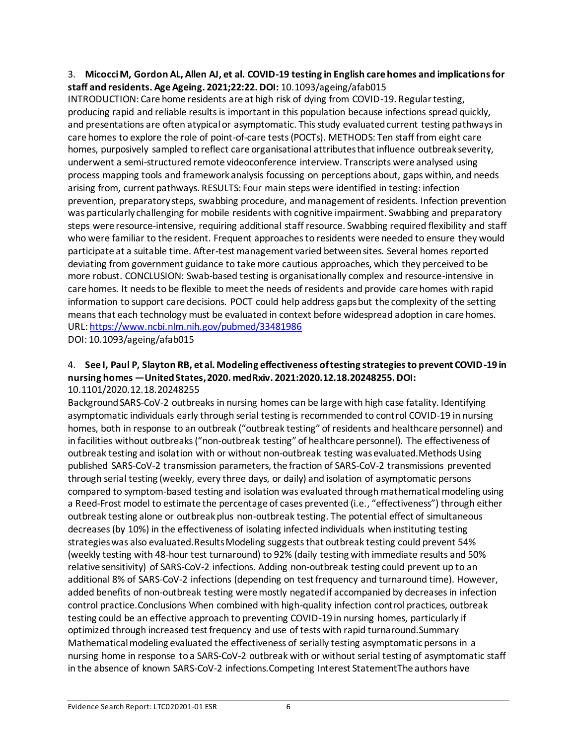### 3. **Micocci M, Gordon AL, Allen AJ, et al. COVID-19 testing in English care homes and implications for staff and residents. Age Ageing. 2021;22:22. DOI:** 10.1093/ageing/afab015

INTRODUCTION: Care home residents are at high risk of dying from COVID-19. Regular testing, producing rapid and reliable results is important in this population because infections spread quickly, and presentations are often atypical or asymptomatic. This study evaluated current testing pathways in care homes to explore the role of point-of-care tests (POCTs). METHODS: Ten staff from eight care homes, purposively sampled to reflect care organisational attributes that influence outbreak severity, underwent a semi-structured remote videoconference interview. Transcripts were analysed using process mapping tools and framework analysis focussing on perceptions about, gaps within, and needs arising from, current pathways. RESULTS: Four main steps were identified in testing: infection prevention, preparatory steps, swabbing procedure, and management of residents. Infection prevention was particularly challenging for mobile residents with cognitive impairment. Swabbing and preparatory steps were resource-intensive, requiring additional staff resource. Swabbing required flexibility and staff who were familiar to the resident. Frequent approaches to residents were needed to ensure they would participate at a suitable time. After-test management varied between sites. Several homes reported deviating from government guidance to take more cautious approaches, which they perceived to be more robust. CONCLUSION: Swab-based testing is organisationally complex and resource-intensive in care homes. It needs to be flexible to meet the needs of residents and provide care homes with rapid information to support care decisions. POCT could help address gaps but the complexity of the setting means that each technology must be evaluated in context before widespread adoption in care homes. URL[: https://www.ncbi.nlm.nih.gov/pubmed/33481986](https://www.ncbi.nlm.nih.gov/pubmed/33481986)

DOI: 10.1093/ageing/afab015

#### 4. **See I, Paul P, Slayton RB, et al. Modeling effectiveness of testing strategies to prevent COVID-19 in nursing homes —United States, 2020. medRxiv. 2021:2020.12.18.20248255. DOI:** 10.1101/2020.12.18.20248255

Background SARS-CoV-2 outbreaks in nursing homes can be large with high case fatality. Identifying asymptomatic individuals early through serial testing is recommended to control COVID-19 in nursing homes, both in response to an outbreak ("outbreak testing" of residents and healthcare personnel) and in facilities without outbreaks ("non-outbreak testing" of healthcare personnel). The effectiveness of outbreak testing and isolation with or without non-outbreak testing was evaluated.Methods Using published SARS-CoV-2 transmission parameters, the fraction of SARS-CoV-2 transmissions prevented through serial testing (weekly, every three days, or daily) and isolation of asymptomatic persons compared to symptom-based testing and isolation was evaluated through mathematical modeling using a Reed-Frost model to estimate the percentage of cases prevented (i.e., "effectiveness") through either outbreak testing alone or outbreak plus non-outbreak testing. The potential effect of simultaneous decreases (by 10%) in the effectiveness of isolating infected individuals when instituting testing strategies was also evaluated.Results Modeling suggests that outbreak testing could prevent 54% (weekly testing with 48-hour test turnaround) to 92% (daily testing with immediate results and 50% relative sensitivity) of SARS-CoV-2 infections. Adding non-outbreak testing could prevent up to an additional 8% of SARS-CoV-2 infections (depending on test frequency and turnaround time). However, added benefits of non-outbreak testing were mostly negated if accompanied by decreases in infection control practice.Conclusions When combined with high-quality infection control practices, outbreak testing could be an effective approach to preventing COVID-19 in nursing homes, particularly if optimized through increased test frequency and use of tests with rapid turnaround.Summary Mathematical modeling evaluated the effectiveness of serially testing asymptomatic persons in a nursing home in response to a SARS-CoV-2 outbreak with or without serial testing of asymptomatic staff in the absence of known SARS-CoV-2 infections.Competing Interest StatementThe authors have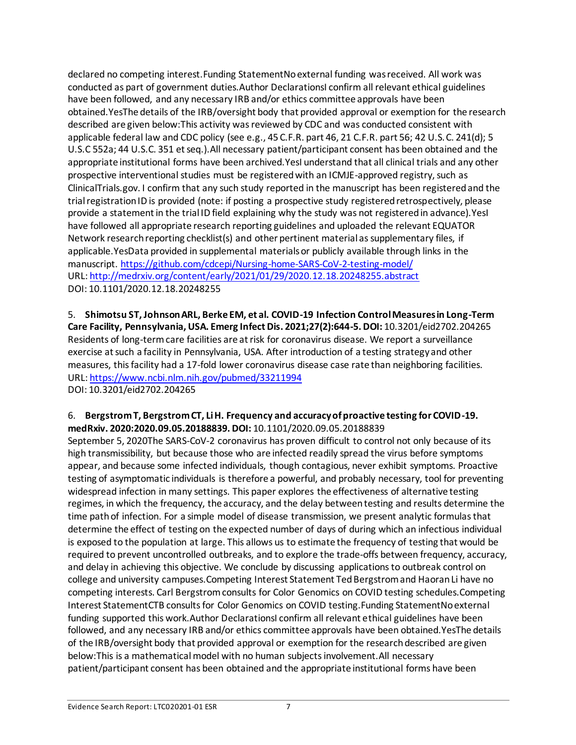declared no competing interest.Funding StatementNo external funding was received. All work was conducted as part of government duties.Author DeclarationsI confirm all relevant ethical guidelines have been followed, and any necessary IRB and/or ethics committee approvals have been obtained.YesThe details of the IRB/oversight body that provided approval or exemption for the research described are given below:This activity was reviewed by CDC and was conducted consistent with applicable federal law and CDC policy (see e.g., 45 C.F.R. part 46, 21 C.F.R. part 56; 42 U.S.C. 241(d); 5 U.S.C 552a; 44 U.S.C. 351 et seq.).All necessary patient/participant consent has been obtained and the appropriate institutional forms have been archived. YesI understand that all clinical trials and any other prospective interventional studies must be registered with an ICMJE-approved registry, such as ClinicalTrials.gov. I confirm that any such study reported in the manuscript has been registered and the trial registration ID is provided (note: if posting a prospective study registered retrospectively, please provide a statement in the trial ID field explaining why the study was not registered in advance).YesI have followed all appropriate research reporting guidelines and uploaded the relevant EQUATOR Network research reporting checklist(s) and other pertinent material as supplementary files, if applicable.YesData provided in supplemental materials or publicly available through links in the manuscript[. https://github.com/cdcepi/Nursing-home-SARS-CoV-2-testing-model/](https://github.com/cdcepi/Nursing-home-SARS-CoV-2-testing-model/) URL[: http://medrxiv.org/content/early/2021/01/29/2020.12.18.20248255.abstract](http://medrxiv.org/content/early/2021/01/29/2020.12.18.20248255.abstract) DOI: 10.1101/2020.12.18.20248255

5. **Shimotsu ST, Johnson ARL, Berke EM, et al. COVID-19 Infection Control Measures in Long-Term Care Facility, Pennsylvania, USA. Emerg Infect Dis. 2021;27(2):644-5. DOI:** 10.3201/eid2702.204265 Residents of long-term care facilities are at risk for coronavirus disease. We report a surveillance exercise at such a facility in Pennsylvania, USA. After introduction of a testing strategy and other measures, this facility had a 17-fold lower coronavirus disease case rate than neighboring facilities. URL[: https://www.ncbi.nlm.nih.gov/pubmed/33211994](https://www.ncbi.nlm.nih.gov/pubmed/33211994) DOI: 10.3201/eid2702.204265

### 6. **Bergstrom T, Bergstrom CT, Li H. Frequency and accuracy of proactive testing for COVID-19. medRxiv. 2020:2020.09.05.20188839. DOI:** 10.1101/2020.09.05.20188839

September 5, 2020The SARS-CoV-2 coronavirus has proven difficult to control not only because of its high transmissibility, but because those who are infected readily spread the virus before symptoms appear, and because some infected individuals, though contagious, never exhibit symptoms. Proactive testing of asymptomatic individuals is therefore a powerful, and probably necessary, tool for preventing widespread infection in many settings. This paper explores the effectiveness of alternative testing regimes, in which the frequency, the accuracy, and the delay between testing and results determine the time path of infection. For a simple model of disease transmission, we present analytic formulas that determine the effect of testing on the expected number of days of during which an infectious individual is exposed to the population at large. This allows us to estimate the frequency of testing that would be required to prevent uncontrolled outbreaks, and to explore the trade-offs between frequency, accuracy, and delay in achieving this objective. We conclude by discussing applications to outbreak control on college and university campuses.Competing Interest Statement Ted Bergstrom and Haoran Li have no competing interests. Carl Bergstrom consults for Color Genomics on COVID testing schedules.Competing Interest StatementCTB consults for Color Genomics on COVID testing.Funding StatementNo external funding supported this work.Author DeclarationsI confirm all relevant ethical guidelines have been followed, and any necessary IRB and/or ethics committee approvals have been obtained.YesThe details of the IRB/oversight body that provided approval or exemption for the research described are given below:This is a mathematical model with no human subjects involvement.All necessary patient/participant consent has been obtained and the appropriate institutional forms have been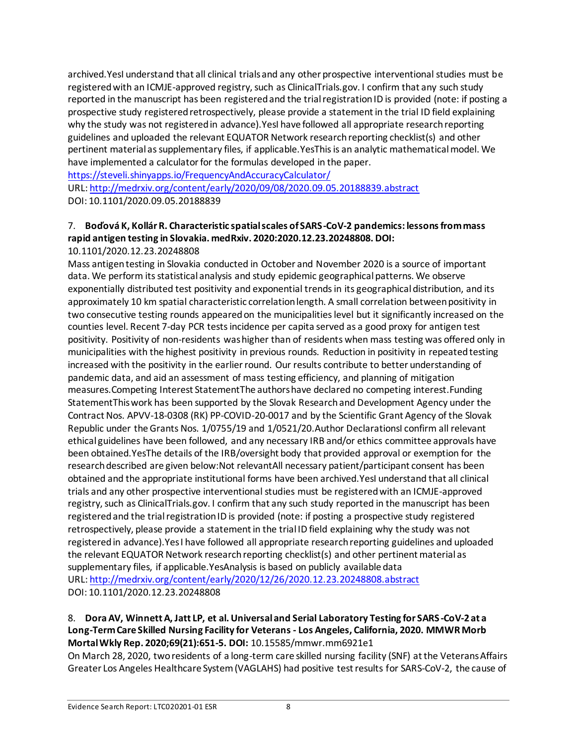archived.YesI understand that all clinical trials and any other prospective interventional studies must be registered with an ICMJE-approved registry, such as ClinicalTrials.gov. I confirm that any such study reported in the manuscript has been registered and the trial registration ID is provided (note: if posting a prospective study registered retrospectively, please provide a statement in the trial ID field explaining why the study was not registered in advance). YesI have followed all appropriate research reporting guidelines and uploaded the relevant EQUATOR Network research reporting checklist(s) and other pertinent material as supplementary files, if applicable.YesThis is an analytic mathematical model. We have implemented a calculator for the formulas developed in the paper.

<https://steveli.shinyapps.io/FrequencyAndAccuracyCalculator/>

URL[: http://medrxiv.org/content/early/2020/09/08/2020.09.05.20188839.abstract](http://medrxiv.org/content/early/2020/09/08/2020.09.05.20188839.abstract) DOI: 10.1101/2020.09.05.20188839

## 7. **Boďová K, Kollár R. Characteristic spatial scales of SARS-CoV-2 pandemics: lessons from mass rapid antigen testing in Slovakia. medRxiv. 2020:2020.12.23.20248808. DOI:**

### 10.1101/2020.12.23.20248808

Mass antigen testing in Slovakia conducted in October and November 2020 is a source of important data. We perform its statistical analysis and study epidemic geographical patterns. We observe exponentially distributed test positivity and exponential trends in its geographical distribution, and its approximately 10 km spatial characteristic correlation length. A small correlation between positivity in two consecutive testing rounds appeared on the municipalities level but it significantly increased on the counties level. Recent 7-day PCR tests incidence per capita served as a good proxy for antigen test positivity. Positivity of non-residents was higher than of residents when mass testing was offered only in municipalities with the highest positivity in previous rounds. Reduction in positivity in repeated testing increased with the positivity in the earlier round. Our results contribute to better understanding of pandemic data, and aid an assessment of mass testing efficiency, and planning of mitigation measures.Competing Interest StatementThe authors have declared no competing interest.Funding StatementThis work has been supported by the Slovak Research and Development Agency under the Contract Nos. APVV-18-0308 (RK) PP-COVID-20-0017 and by the Scientific Grant Agency of the Slovak Republic under the Grants Nos. 1/0755/19 and 1/0521/20.Author DeclarationsI confirm all relevant ethical guidelines have been followed, and any necessary IRB and/or ethics committee approvals have been obtained.YesThe details of the IRB/oversight body that provided approval or exemption for the research described are given below:Not relevantAll necessary patient/participant consent has been obtained and the appropriate institutional forms have been archived.YesI understand that all clinical trials and any other prospective interventional studies must be registered with an ICMJE-approved registry, such as ClinicalTrials.gov. I confirm that any such study reported in the manuscript has been registered and the trial registration ID is provided (note: if posting a prospective study registered retrospectively, please provide a statement in the trial ID field explaining why the study was not registered in advance).Yes I have followed all appropriate research reporting guidelines and uploaded the relevant EQUATOR Network research reporting checklist(s) and other pertinent material as supplementary files, if applicable.YesAnalysis is based on publicly available data URL[: http://medrxiv.org/content/early/2020/12/26/2020.12.23.20248808.abstract](http://medrxiv.org/content/early/2020/12/26/2020.12.23.20248808.abstract) DOI: 10.1101/2020.12.23.20248808

### 8. **Dora AV, Winnett A, Jatt LP, et al. Universal and Serial Laboratory Testing for SARS-CoV-2 at a Long-Term Care Skilled Nursing Facility for Veterans - Los Angeles, California, 2020. MMWR Morb Mortal Wkly Rep. 2020;69(21):651-5. DOI:** 10.15585/mmwr.mm6921e1

On March 28, 2020, two residents of a long-term care skilled nursing facility (SNF) at the Veterans Affairs Greater Los Angeles Healthcare System (VAGLAHS) had positive test results for SARS-CoV-2, the cause of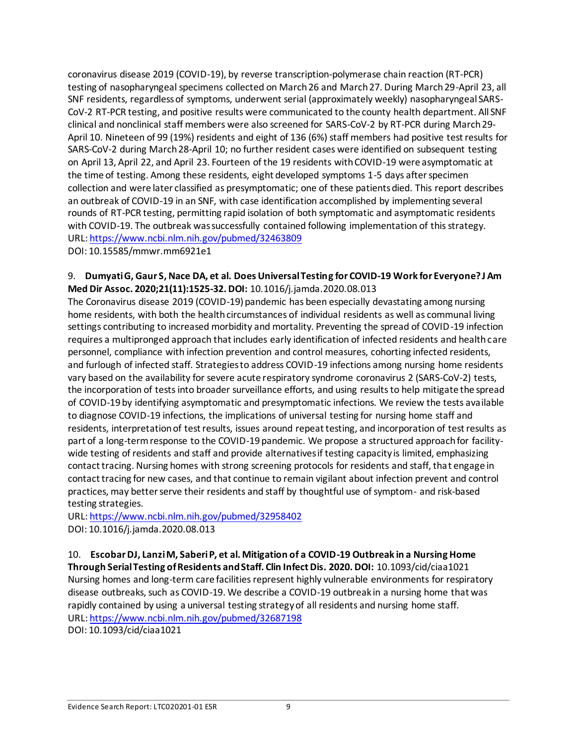coronavirus disease 2019 (COVID-19), by reverse transcription-polymerase chain reaction (RT-PCR) testing of nasopharyngeal specimens collected on March 26 and March 27. During March 29-April 23, all SNF residents, regardless of symptoms, underwent serial (approximately weekly) nasopharyngeal SARS-CoV-2 RT-PCR testing, and positive results were communicated to the county health department. All SNF clinical and nonclinical staff members were also screened for SARS-CoV-2 by RT-PCR during March 29- April 10. Nineteen of 99 (19%) residents and eight of 136 (6%) staff members had positive test results for SARS-CoV-2 during March 28-April 10; no further resident cases were identified on subsequent testing on April 13, April 22, and April 23. Fourteen of the 19 residents with COVID-19 were asymptomatic at the time of testing. Among these residents, eight developed symptoms 1-5 days after specimen collection and were later classified as presymptomatic; one of these patients died. This report describes an outbreak of COVID-19 in an SNF, with case identification accomplished by implementing several rounds of RT-PCR testing, permitting rapid isolation of both symptomatic and asymptomatic residents with COVID-19. The outbreak was successfully contained following implementation of this strategy. URL[: https://www.ncbi.nlm.nih.gov/pubmed/32463809](https://www.ncbi.nlm.nih.gov/pubmed/32463809)

DOI: 10.15585/mmwr.mm6921e1

### 9. **Dumyati G, Gaur S, Nace DA, et al. Does Universal Testing for COVID-19 Work for Everyone? J Am Med Dir Assoc. 2020;21(11):1525-32. DOI:** 10.1016/j.jamda.2020.08.013

The Coronavirus disease 2019 (COVID-19) pandemic has been especially devastating among nursing home residents, with both the health circumstances of individual residents as well as communal living settings contributing to increased morbidity and mortality. Preventing the spread of COVID-19 infection requires a multipronged approach that includes early identification of infected residents and health care personnel, compliance with infection prevention and control measures, cohorting infected residents, and furlough of infected staff. Strategies to address COVID-19 infections among nursing home residents vary based on the availability for severe acute respiratory syndrome coronavirus 2 (SARS-CoV-2) tests, the incorporation of tests into broader surveillance efforts, and using results to help mitigate the spread of COVID-19 by identifying asymptomatic and presymptomatic infections. We review the tests available to diagnose COVID-19 infections, the implications of universal testing for nursing home staff and residents, interpretation of test results, issues around repeat testing, and incorporation of test results as part of a long-term response to the COVID-19 pandemic. We propose a structured approach for facilitywide testing of residents and staff and provide alternatives if testing capacity is limited, emphasizing contact tracing. Nursing homes with strong screening protocols for residents and staff, that engage in contact tracing for new cases, and that continue to remain vigilant about infection prevent and control practices, may better serve their residents and staff by thoughtful use of symptom- and risk-based testing strategies.

URL[: https://www.ncbi.nlm.nih.gov/pubmed/32958402](https://www.ncbi.nlm.nih.gov/pubmed/32958402) DOI: 10.1016/j.jamda.2020.08.013

10. **Escobar DJ, Lanzi M, Saberi P, et al. Mitigation of a COVID-19 Outbreak in a Nursing Home Through Serial Testing of Residents and Staff. Clin Infect Dis. 2020. DOI:** 10.1093/cid/ciaa1021 Nursing homes and long-term care facilities represent highly vulnerable environments for respiratory disease outbreaks, such as COVID-19. We describe a COVID-19 outbreak in a nursing home that was rapidly contained by using a universal testing strategy of all residents and nursing home staff. URL[: https://www.ncbi.nlm.nih.gov/pubmed/32687198](https://www.ncbi.nlm.nih.gov/pubmed/32687198)

DOI: 10.1093/cid/ciaa1021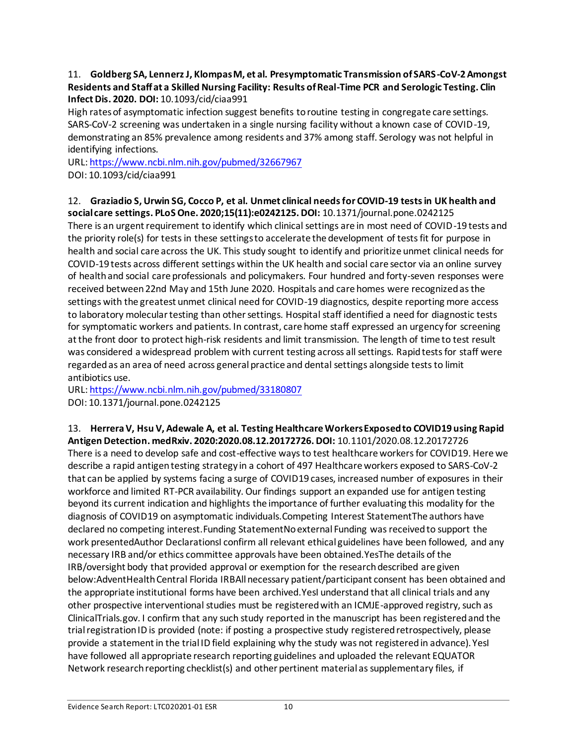### 11. **Goldberg SA, Lennerz J, Klompas M, et al. Presymptomatic Transmission of SARS-CoV-2 Amongst Residents and Staff at a Skilled Nursing Facility: Results of Real-Time PCR and Serologic Testing. Clin Infect Dis. 2020. DOI:** 10.1093/cid/ciaa991

High rates of asymptomatic infection suggest benefits to routine testing in congregate care settings. SARS-CoV-2 screening was undertaken in a single nursing facility without a known case of COVID-19, demonstrating an 85% prevalence among residents and 37% among staff. Serology was not helpful in identifying infections.

URL[: https://www.ncbi.nlm.nih.gov/pubmed/32667967](https://www.ncbi.nlm.nih.gov/pubmed/32667967) DOI: 10.1093/cid/ciaa991

### 12. **Graziadio S, Urwin SG, Cocco P, et al. Unmet clinical needs for COVID-19 tests in UK health and social care settings. PLoS One. 2020;15(11):e0242125. DOI:** 10.1371/journal.pone.0242125

There is an urgent requirement to identify which clinical settings are in most need of COVID-19 tests and the priority role(s) for tests in these settings to accelerate the development of tests fit for purpose in health and social care across the UK. This study sought to identify and prioritize unmet clinical needs for COVID-19 tests across different settings within the UK health and social care sector via an online survey of health and social care professionals and policymakers. Four hundred and forty-seven responses were received between 22nd May and 15th June 2020. Hospitals and care homes were recognized as the settings with the greatest unmet clinical need for COVID-19 diagnostics, despite reporting more access to laboratory molecular testing than other settings. Hospital staff identified a need for diagnostic tests for symptomatic workers and patients. In contrast, care home staff expressed an urgency for screening at the front door to protect high-risk residents and limit transmission. The length of time to test result was considered a widespread problem with current testing across all settings. Rapid tests for staff were regarded as an area of need across general practice and dental settings alongside tests to limit antibiotics use.

URL[: https://www.ncbi.nlm.nih.gov/pubmed/33180807](https://www.ncbi.nlm.nih.gov/pubmed/33180807) DOI: 10.1371/journal.pone.0242125

13. **Herrera V, Hsu V, Adewale A, et al. Testing Healthcare Workers Exposed to COVID19 using Rapid Antigen Detection. medRxiv. 2020:2020.08.12.20172726. DOI:** 10.1101/2020.08.12.20172726 There is a need to develop safe and cost-effective ways to test healthcare workers for COVID19. Here we describe a rapid antigen testing strategy in a cohort of 497 Healthcare workers exposed to SARS-CoV-2 that can be applied by systems facing a surge of COVID19 cases, increased number of exposures in their workforce and limited RT-PCR availability. Our findings support an expanded use for antigen testing beyond its current indication and highlights the importance of further evaluating this modality for the diagnosis of COVID19 on asymptomatic individuals.Competing Interest StatementThe authors have declared no competing interest.Funding StatementNo external Funding was received to support the work presentedAuthor DeclarationsI confirm all relevant ethical guidelines have been followed, and any necessary IRB and/or ethics committee approvals have been obtained.YesThe details of the IRB/oversight body that provided approval or exemption for the research described are given below:AdventHealth Central Florida IRBAll necessary patient/participant consent has been obtained and the appropriate institutional forms have been archived.YesI understand that all clinical trials and any other prospective interventional studies must be registered with an ICMJE-approved registry, such as ClinicalTrials.gov. I confirm that any such study reported in the manuscript has been registered and the trial registration ID is provided (note: if posting a prospective study registered retrospectively, please provide a statement in the trial ID field explaining why the study was not registered in advance). YesI have followed all appropriate research reporting guidelines and uploaded the relevant EQUATOR Network research reporting checklist(s) and other pertinent material as supplementary files, if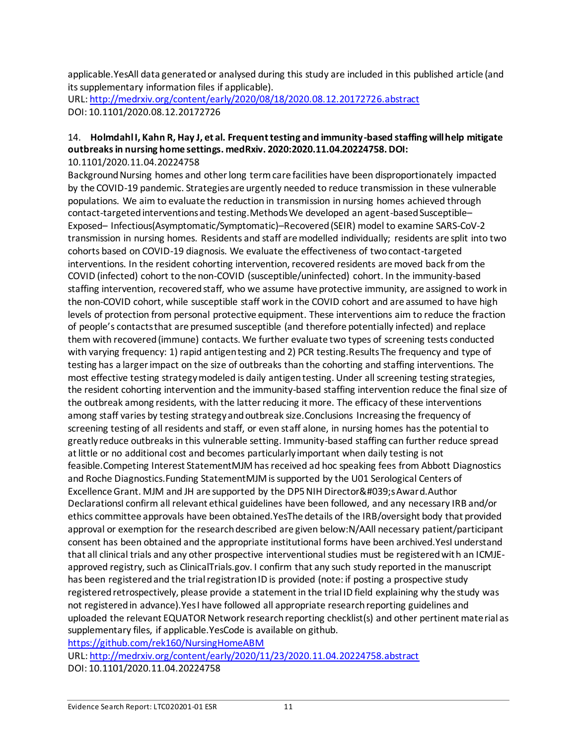applicable.YesAll data generated or analysed during this study are included in this published article (and its supplementary information files if applicable).

URL[: http://medrxiv.org/content/early/2020/08/18/2020.08.12.20172726.abstract](http://medrxiv.org/content/early/2020/08/18/2020.08.12.20172726.abstract) DOI: 10.1101/2020.08.12.20172726

#### 14. **Holmdahl I, Kahn R, Hay J, et al. Frequent testing and immunity-based staffing will help mitigate outbreaks in nursing home settings. medRxiv. 2020:2020.11.04.20224758. DOI:** 10.1101/2020.11.04.20224758

Background Nursing homes and other long term care facilities have been disproportionately impacted by the COVID-19 pandemic. Strategies are urgently needed to reduce transmission in these vulnerable populations. We aim to evaluate the reduction in transmission in nursing homes achieved through contact-targeted interventions and testing.Methods We developed an agent-based Susceptible– Exposed– Infectious(Asymptomatic/Symptomatic)–Recovered (SEIR) model to examine SARS-CoV-2 transmission in nursing homes. Residents and staff are modelled individually; residents are split into two cohorts based on COVID-19 diagnosis. We evaluate the effectiveness of two contact-targeted interventions. In the resident cohorting intervention, recovered residents are moved back from the COVID (infected) cohort to the non-COVID (susceptible/uninfected) cohort. In the immunity-based staffing intervention, recovered staff, who we assume have protective immunity, are assigned to work in the non-COVID cohort, while susceptible staff work in the COVID cohort and are assumed to have high levels of protection from personal protective equipment. These interventions aim to reduce the fraction of people's contacts that are presumed susceptible (and therefore potentially infected) and replace them with recovered (immune) contacts. We further evaluate two types of screening tests conducted with varying frequency: 1) rapid antigen testing and 2) PCR testing.Results The frequency and type of testing has a larger impact on the size of outbreaks than the cohorting and staffing interventions. The most effective testing strategy modeled is daily antigen testing. Under all screening testing strategies, the resident cohorting intervention and the immunity-based staffing intervention reduce the final size of the outbreak among residents, with the latter reducing it more. The efficacy of these interventions among staff varies by testing strategy and outbreak size.Conclusions Increasing the frequency of screening testing of all residents and staff, or even staff alone, in nursing homes has the potential to greatly reduce outbreaks in this vulnerable setting. Immunity-based staffing can further reduce spread at little or no additional cost and becomes particularly important when daily testing is not feasible.Competing Interest StatementMJM has received ad hoc speaking fees from Abbott Diagnostics and Roche Diagnostics.Funding StatementMJM is supported by the U01 Serological Centers of Excellence Grant. MJM and JH are supported by the DP5 NIH Director's Award.Author DeclarationsI confirm all relevant ethical guidelines have been followed, and any necessary IRB and/or ethics committee approvals have been obtained.YesThe details of the IRB/oversight body that provided approval or exemption for the research described are given below:N/AAll necessary patient/participant consent has been obtained and the appropriate institutional forms have been archived.YesI understand that all clinical trials and any other prospective interventional studies must be registered with an ICMJEapproved registry, such as ClinicalTrials.gov. I confirm that any such study reported in the manuscript has been registered and the trial registration ID is provided (note: if posting a prospective study registered retrospectively, please provide a statement in the trial ID field explaining why the study was not registered in advance).Yes I have followed all appropriate research reporting guidelines and uploaded the relevant EQUATOR Network research reporting checklist(s) and other pertinent material as supplementary files, if applicable.YesCode is available on github.

<https://github.com/rek160/NursingHomeABM>

URL[: http://medrxiv.org/content/early/2020/11/23/2020.11.04.20224758.abstract](http://medrxiv.org/content/early/2020/11/23/2020.11.04.20224758.abstract) DOI: 10.1101/2020.11.04.20224758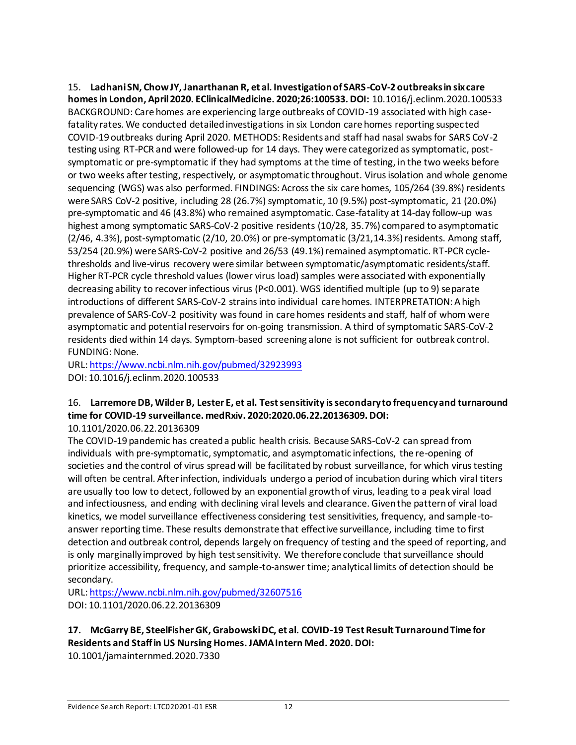15. **Ladhani SN, Chow JY, Janarthanan R, et al. Investigation of SARS-CoV-2 outbreaks in six care homes in London, April 2020. EClinicalMedicine. 2020;26:100533. DOI:** 10.1016/j.eclinm.2020.100533 BACKGROUND: Care homes are experiencing large outbreaks of COVID-19 associated with high casefatality rates. We conducted detailed investigations in six London care homes reporting suspected COVID-19 outbreaks during April 2020. METHODS: Residents and staff had nasal swabs for SARS CoV-2 testing using RT-PCR and were followed-up for 14 days. They were categorized as symptomatic, postsymptomatic or pre-symptomatic if they had symptoms at the time of testing, in the two weeks before or two weeks after testing, respectively, or asymptomatic throughout. Virus isolation and whole genome sequencing (WGS) was also performed. FINDINGS: Across the six care homes, 105/264 (39.8%) residents were SARS CoV-2 positive, including 28 (26.7%) symptomatic, 10 (9.5%) post-symptomatic, 21 (20.0%) pre-symptomatic and 46 (43.8%) who remained asymptomatic. Case-fatality at 14-day follow-up was highest among symptomatic SARS-CoV-2 positive residents (10/28, 35.7%) compared to asymptomatic (2/46, 4.3%), post-symptomatic (2/10, 20.0%) or pre-symptomatic (3/21,14.3%) residents. Among staff, 53/254 (20.9%) were SARS-CoV-2 positive and 26/53 (49.1%) remained asymptomatic. RT-PCR cyclethresholds and live-virus recovery were similar between symptomatic/asymptomatic residents/staff. Higher RT-PCR cycle threshold values (lower virus load) samples were associated with exponentially decreasing ability to recover infectious virus (P<0.001). WGS identified multiple (up to 9) separate introductions of different SARS-CoV-2 strains into individual care homes. INTERPRETATION: A high prevalence of SARS-CoV-2 positivity was found in care homes residents and staff, half of whom were asymptomatic and potential reservoirs for on-going transmission. A third of symptomatic SARS-CoV-2 residents died within 14 days. Symptom-based screening alone is not sufficient for outbreak control. FUNDING: None.

URL[: https://www.ncbi.nlm.nih.gov/pubmed/32923993](https://www.ncbi.nlm.nih.gov/pubmed/32923993) DOI: 10.1016/j.eclinm.2020.100533

# 16. **Larremore DB, Wilder B, Lester E, et al. Test sensitivity is secondary to frequency and turnaround time for COVID-19 surveillance. medRxiv. 2020:2020.06.22.20136309. DOI:**

### 10.1101/2020.06.22.20136309

The COVID-19 pandemic has created a public health crisis. Because SARS-CoV-2 can spread from individuals with pre-symptomatic, symptomatic, and asymptomatic infections, the re-opening of societies and the control of virus spread will be facilitated by robust surveillance, for which virus testing will often be central. After infection, individuals undergo a period of incubation during which viral titers are usually too low to detect, followed by an exponential growth of virus, leading to a peak viral load and infectiousness, and ending with declining viral levels and clearance. Given the pattern of viral load kinetics, we model surveillance effectiveness considering test sensitivities, frequency, and sample-toanswer reporting time. These results demonstrate that effective surveillance, including time to first detection and outbreak control, depends largely on frequency of testing and the speed of reporting, and is only marginally improved by high test sensitivity. We therefore conclude that surveillance should prioritize accessibility, frequency, and sample-to-answer time; analytical limits of detection should be secondary.

URL[: https://www.ncbi.nlm.nih.gov/pubmed/32607516](https://www.ncbi.nlm.nih.gov/pubmed/32607516) DOI: 10.1101/2020.06.22.20136309

### **17. McGarry BE, SteelFisher GK, Grabowski DC, et al. COVID-19 Test Result Turnaround Time for Residents and Staff in US Nursing Homes. JAMA Intern Med. 2020. DOI:**

10.1001/jamainternmed.2020.7330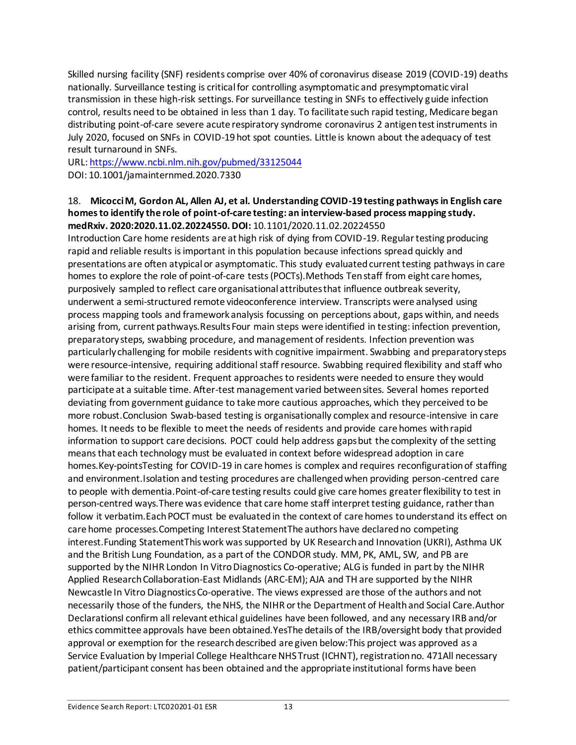Skilled nursing facility (SNF) residents comprise over 40% of coronavirus disease 2019 (COVID-19) deaths nationally. Surveillance testing is critical for controlling asymptomatic and presymptomatic viral transmission in these high-risk settings. For surveillance testing in SNFs to effectively guide infection control, results need to be obtained in less than 1 day. To facilitate such rapid testing, Medicare began distributing point-of-care severe acute respiratory syndrome coronavirus 2 antigen test instruments in July 2020, focused on SNFs in COVID-19 hot spot counties. Little is known about the adequacy of test result turnaround in SNFs.

URL[: https://www.ncbi.nlm.nih.gov/pubmed/33125044](https://www.ncbi.nlm.nih.gov/pubmed/33125044) DOI: 10.1001/jamainternmed.2020.7330

#### 18. **Micocci M, Gordon AL, Allen AJ, et al. Understanding COVID-19 testing pathways in English care homes to identify the role of point-of-care testing: an interview-based process mapping study. medRxiv. 2020:2020.11.02.20224550. DOI:** 10.1101/2020.11.02.20224550

Introduction Care home residents are at high risk of dying from COVID-19. Regular testing producing rapid and reliable results is important in this population because infections spread quickly and presentations are often atypical or asymptomatic. This study evaluated current testing pathways in care homes to explore the role of point-of-care tests (POCTs). Methods Ten staff from eight care homes, purposively sampled to reflect care organisational attributes that influence outbreak severity, underwent a semi-structured remote videoconference interview. Transcripts were analysed using process mapping tools and framework analysis focussing on perceptions about, gaps within, and needs arising from, current pathways.Results Four main steps were identified in testing: infection prevention, preparatory steps, swabbing procedure, and management of residents. Infection prevention was particularly challenging for mobile residents with cognitive impairment. Swabbing and preparatory steps were resource-intensive, requiring additional staff resource. Swabbing required flexibility and staff who were familiar to the resident. Frequent approaches to residents were needed to ensure they would participate at a suitable time. After-test management varied between sites. Several homes reported deviating from government guidance to take more cautious approaches, which they perceived to be more robust.Conclusion Swab-based testing is organisationally complex and resource-intensive in care homes. It needs to be flexible to meet the needs of residents and provide care homes with rapid information to support care decisions. POCT could help address gaps but the complexity of the setting means that each technology must be evaluated in context before widespread adoption in care homes.Key-pointsTesting for COVID-19 in care homes is complex and requires reconfiguration of staffing and environment.Isolation and testing procedures are challenged when providing person-centred care to people with dementia.Point-of-care testing results could give care homes greater flexibility to test in person-centred ways.There was evidence that care home staff interpret testing guidance, rather than follow it verbatim.Each POCT must be evaluated in the context of care homes to understand its effect on care home processes.Competing Interest StatementThe authors have declared no competing interest.Funding StatementThis work was supported by UK Research and Innovation (UKRI), Asthma UK and the British Lung Foundation, as a part of the CONDOR study. MM, PK, AML, SW, and PB are supported by the NIHR London In Vitro Diagnostics Co-operative; ALG is funded in part by the NIHR Applied Research Collaboration-East Midlands (ARC-EM); AJA and TH are supported by the NIHR Newcastle In Vitro Diagnostics Co-operative. The views expressed are those of the authors and not necessarily those of the funders, the NHS, the NIHR or the Department of Health and Social Care.Author DeclarationsI confirm all relevant ethical guidelines have been followed, and any necessary IRB and/or ethics committee approvals have been obtained.YesThe details of the IRB/oversight body that provided approval or exemption for the research described are given below:This project was approved as a Service Evaluation by Imperial College Healthcare NHS Trust (ICHNT), registration no. 471All necessary patient/participant consent has been obtained and the appropriate institutional forms have been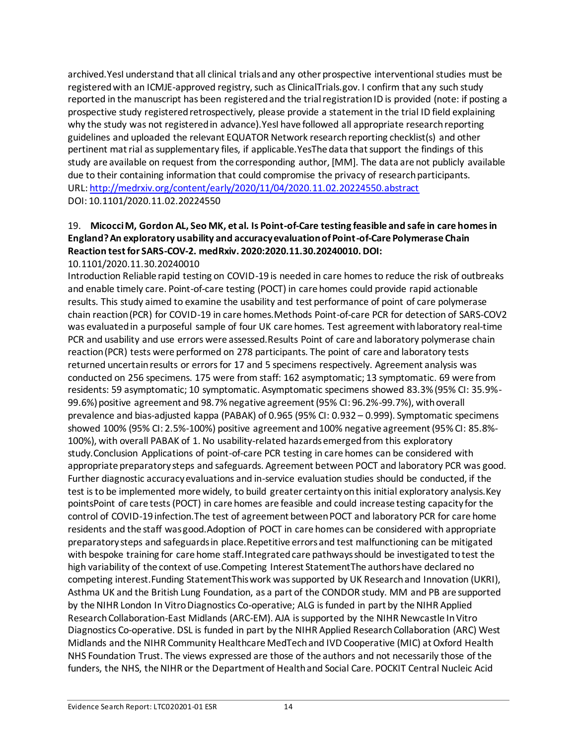archived.YesI understand that all clinical trials and any other prospective interventional studies must be registered with an ICMJE-approved registry, such as ClinicalTrials.gov. I confirm that any such study reported in the manuscript has been registered and the trial registration ID is provided (note: if posting a prospective study registered retrospectively, please provide a statement in the trial ID field explaining why the study was not registered in advance). YesI have followed all appropriate research reporting guidelines and uploaded the relevant EQUATOR Network research reporting checklist(s) and other pertinent mat rial as supplementary files, if applicable.YesThe data that support the findings of this study are available on request from the corresponding author, [MM]. The data are not publicly available due to their containing information that could compromise the privacy of research participants. URL[: http://medrxiv.org/content/early/2020/11/04/2020.11.02.20224550.abstract](http://medrxiv.org/content/early/2020/11/04/2020.11.02.20224550.abstract) DOI: 10.1101/2020.11.02.20224550

## 19. **Micocci M, Gordon AL, Seo MK, et al. Is Point-of-Care testing feasible and safe in care homes in England? An exploratory usability and accuracy evaluation of Point-of-Care Polymerase Chain Reaction test for SARS-COV-2. medRxiv. 2020:2020.11.30.20240010. DOI:**

10.1101/2020.11.30.20240010

Introduction Reliable rapid testing on COVID-19 is needed in care homes to reduce the risk of outbreaks and enable timely care. Point-of-care testing (POCT) in care homes could provide rapid actionable results. This study aimed to examine the usability and test performance of point of care polymerase chain reaction (PCR) for COVID-19 in care homes.Methods Point-of-care PCR for detection of SARS-COV2 was evaluated in a purposeful sample of four UK care homes. Test agreement with laboratory real-time PCR and usability and use errors were assessed.Results Point of care and laboratory polymerase chain reaction (PCR) tests were performed on 278 participants. The point of care and laboratory tests returned uncertain results or errors for 17 and 5 specimens respectively. Agreement analysis was conducted on 256 specimens. 175 were from staff: 162 asymptomatic; 13 symptomatic. 69 were from residents: 59 asymptomatic; 10 symptomatic. Asymptomatic specimens showed 83.3% (95% CI: 35.9%- 99.6%) positive agreement and 98.7% negative agreement (95% CI: 96.2%-99.7%), with overall prevalence and bias-adjusted kappa (PABAK) of 0.965 (95% CI: 0.932 – 0.999). Symptomatic specimens showed 100% (95% CI: 2.5%-100%) positive agreement and 100% negative agreement (95% CI: 85.8%- 100%), with overall PABAK of 1. No usability-related hazards emerged from this exploratory study.Conclusion Applications of point-of-care PCR testing in care homes can be considered with appropriate preparatory steps and safeguards. Agreement between POCT and laboratory PCR was good. Further diagnostic accuracy evaluations and in-service evaluation studies should be conducted, if the test is to be implemented more widely, to build greater certainty on this initial exploratory analysis.Key pointsPoint of care tests (POCT) in care homes are feasible and could increase testing capacity for the control of COVID-19 infection.The test of agreement between POCT and laboratory PCR for care home residents and the staff was good.Adoption of POCT in care homes can be considered with appropriate preparatory steps and safeguards in place.Repetitive errors and test malfunctioning can be mitigated with bespoke training for care home staff.Integrated care pathways should be investigated to test the high variability of the context of use.Competing Interest StatementThe authors have declared no competing interest.Funding StatementThis work was supported by UK Research and Innovation (UKRI), Asthma UK and the British Lung Foundation, as a part of the CONDOR study. MM and PB are supported by the NIHR London In Vitro Diagnostics Co-operative; ALG is funded in part by the NIHR Applied Research Collaboration-East Midlands (ARC-EM). AJA is supported by the NIHR Newcastle In Vitro Diagnostics Co-operative. DSL is funded in part by the NIHR Applied Research Collaboration (ARC) West Midlands and the NIHR Community Healthcare MedTech and IVD Cooperative (MIC) at Oxford Health NHS Foundation Trust. The views expressed are those of the authors and not necessarily those of the funders, the NHS, the NIHR or the Department of Health and Social Care. POCKIT Central Nucleic Acid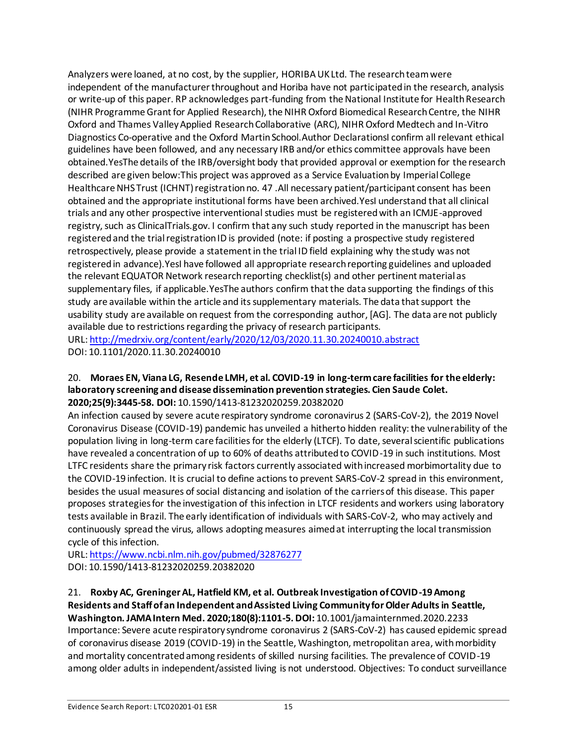Analyzers were loaned, at no cost, by the supplier, HORIBA UK Ltd. The research team were independent of the manufacturer throughout and Horiba have not participated in the research, analysis or write-up of this paper. RP acknowledges part-funding from the National Institute for Health Research (NIHR Programme Grant for Applied Research), the NIHR Oxford Biomedical Research Centre, the NIHR Oxford and Thames Valley Applied Research Collaborative (ARC), NIHR Oxford Medtech and In-Vitro Diagnostics Co-operative and the Oxford Martin School.Author DeclarationsI confirm all relevant ethical guidelines have been followed, and any necessary IRB and/or ethics committee approvals have been obtained.YesThe details of the IRB/oversight body that provided approval or exemption for the research described are given below:This project was approved as a Service Evaluation by Imperial College Healthcare NHS Trust (ICHNT) registration no. 47 .All necessary patient/participant consent has been obtained and the appropriate institutional forms have been archived. YesI understand that all clinical trials and any other prospective interventional studies must be registered with an ICMJE-approved registry, such as ClinicalTrials.gov. I confirm that any such study reported in the manuscript has been registered and the trial registration ID is provided (note: if posting a prospective study registered retrospectively, please provide a statement in the trial ID field explaining why the study was not registered in advance).YesI have followed all appropriate research reporting guidelines and uploaded the relevant EQUATOR Network research reporting checklist(s) and other pertinent material as supplementary files, if applicable.YesThe authors confirm that the data supporting the findings of this study are available within the article and its supplementary materials. The data that support the usability study are available on request from the corresponding author, [AG]. The data are not publicly available due to restrictions regarding the privacy of research participants. URL[: http://medrxiv.org/content/early/2020/12/03/2020.11.30.20240010.abstract](http://medrxiv.org/content/early/2020/12/03/2020.11.30.20240010.abstract) DOI: 10.1101/2020.11.30.20240010

#### 20. **Moraes EN, Viana LG, Resende LMH, et al. COVID-19 in long-term care facilities for the elderly: laboratory screening and disease dissemination prevention strategies. Cien Saude Colet. 2020;25(9):3445-58. DOI:** 10.1590/1413-81232020259.20382020

An infection caused by severe acute respiratory syndrome coronavirus 2 (SARS-CoV-2), the 2019 Novel Coronavirus Disease (COVID-19) pandemic has unveiled a hitherto hidden reality: the vulnerability of the population living in long-term care facilities for the elderly (LTCF). To date, several scientific publications have revealed a concentration of up to 60% of deaths attributed to COVID-19 in such institutions. Most LTFC residents share the primary risk factors currently associated with increased morbimortality due to the COVID-19 infection. It is crucial to define actions to prevent SARS-CoV-2 spread in this environment, besides the usual measures of social distancing and isolation of the carriers of this disease. This paper proposes strategies for the investigation of this infection in LTCF residents and workers using laboratory tests available in Brazil. The early identification of individuals with SARS-CoV-2, who may actively and continuously spread the virus, allows adopting measures aimed at interrupting the local transmission cycle of this infection.

URL[: https://www.ncbi.nlm.nih.gov/pubmed/32876277](https://www.ncbi.nlm.nih.gov/pubmed/32876277) DOI: 10.1590/1413-81232020259.20382020

### 21. **Roxby AC, Greninger AL, Hatfield KM, et al. Outbreak Investigation of COVID-19 Among Residents and Staff of an Independent and Assisted Living Community for Older Adults in Seattle, Washington. JAMA Intern Med. 2020;180(8):1101-5. DOI:** 10.1001/jamainternmed.2020.2233 Importance: Severe acute respiratory syndrome coronavirus 2 (SARS-CoV-2) has caused epidemic spread of coronavirus disease 2019 (COVID-19) in the Seattle, Washington, metropolitan area, with morbidity and mortality concentrated among residents of skilled nursing facilities. The prevalence of COVID-19 among older adults in independent/assisted living is not understood. Objectives: To conduct surveillance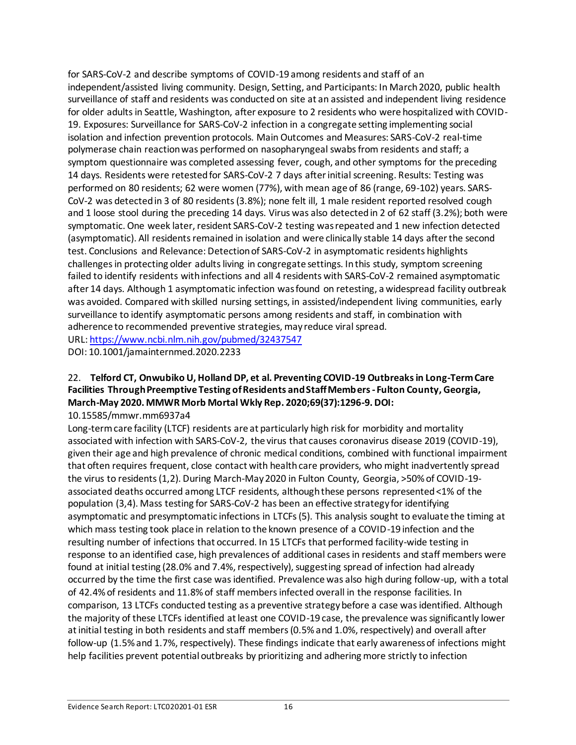for SARS-CoV-2 and describe symptoms of COVID-19 among residents and staff of an independent/assisted living community. Design, Setting, and Participants: In March 2020, public health surveillance of staff and residents was conducted on site at an assisted and independent living residence for older adults in Seattle, Washington, after exposure to 2 residents who were hospitalized with COVID-19. Exposures: Surveillance for SARS-CoV-2 infection in a congregate setting implementing social isolation and infection prevention protocols. Main Outcomes and Measures: SARS-CoV-2 real-time polymerase chain reaction was performed on nasopharyngeal swabs from residents and staff; a symptom questionnaire was completed assessing fever, cough, and other symptoms for the preceding 14 days. Residents were retested for SARS-CoV-2 7 days after initial screening. Results: Testing was performed on 80 residents; 62 were women (77%), with mean age of 86 (range, 69-102) years. SARS-CoV-2 was detected in 3 of 80 residents (3.8%); none felt ill, 1 male resident reported resolved cough and 1 loose stool during the preceding 14 days. Virus was also detected in 2 of 62 staff (3.2%); both were symptomatic. One week later, resident SARS-CoV-2 testing was repeated and 1 new infection detected (asymptomatic). All residents remained in isolation and were clinically stable 14 days after the second test. Conclusions and Relevance: Detection of SARS-CoV-2 in asymptomatic residents highlights challenges in protecting older adults living in congregate settings. In this study, symptom screening failed to identify residents with infections and all 4 residents with SARS-CoV-2 remained asymptomatic after 14 days. Although 1 asymptomatic infection was found on retesting, a widespread facility outbreak was avoided. Compared with skilled nursing settings, in assisted/independent living communities, early surveillance to identify asymptomatic persons among residents and staff, in combination with adherence to recommended preventive strategies, may reduce viral spread. URL[: https://www.ncbi.nlm.nih.gov/pubmed/32437547](https://www.ncbi.nlm.nih.gov/pubmed/32437547)

DOI: 10.1001/jamainternmed.2020.2233

## 22. **Telford CT, Onwubiko U, Holland DP, et al. Preventing COVID-19 Outbreaks in Long-Term Care Facilities Through Preemptive Testing of Residents and Staff Members - Fulton County, Georgia, March-May 2020. MMWR Morb Mortal Wkly Rep. 2020;69(37):1296-9. DOI:**

10.15585/mmwr.mm6937a4

Long-term care facility (LTCF) residents are at particularly high risk for morbidity and mortality associated with infection with SARS-CoV-2, the virus that causes coronavirus disease 2019 (COVID-19), given their age and high prevalence of chronic medical conditions, combined with functional impairment that often requires frequent, close contact with health care providers, who might inadvertently spread the virus to residents (1,2). During March-May 2020 in Fulton County, Georgia, >50% of COVID-19 associated deaths occurred among LTCF residents, although these persons represented <1% of the population (3,4). Mass testing for SARS-CoV-2 has been an effective strategy for identifying asymptomatic and presymptomatic infections in LTCFs (5). This analysis sought to evaluate the timing at which mass testing took place in relation to the known presence of a COVID-19 infection and the resulting number of infections that occurred. In 15 LTCFs that performed facility-wide testing in response to an identified case, high prevalences of additional cases in residents and staff members were found at initial testing (28.0% and 7.4%, respectively), suggesting spread of infection had already occurred by the time the first case was identified. Prevalence was also high during follow-up, with a total of 42.4% of residents and 11.8% of staff members infected overall in the response facilities. In comparison, 13 LTCFs conducted testing as a preventive strategy before a case was identified. Although the majority of these LTCFs identified at least one COVID-19 case, the prevalence was significantly lower at initial testing in both residents and staff members (0.5% and 1.0%, respectively) and overall after follow-up (1.5% and 1.7%, respectively). These findings indicate that early awareness of infections might help facilities prevent potential outbreaks by prioritizing and adhering more strictly to infection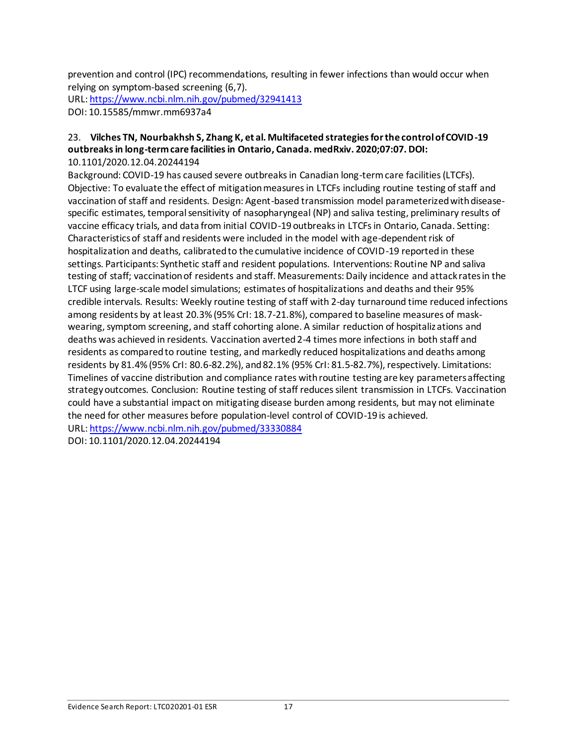prevention and control (IPC) recommendations, resulting in fewer infections than would occur when relying on symptom-based screening (6,7).

URL[: https://www.ncbi.nlm.nih.gov/pubmed/32941413](https://www.ncbi.nlm.nih.gov/pubmed/32941413)

DOI: 10.15585/mmwr.mm6937a4

#### 23. **Vilches TN, Nourbakhsh S, Zhang K, et al. Multifaceted strategies for the control of COVID-19 outbreaks in long-term care facilities in Ontario, Canada. medRxiv. 2020;07:07. DOI:** 10.1101/2020.12.04.20244194

Background: COVID-19 has caused severe outbreaks in Canadian long-term care facilities (LTCFs). Objective: To evaluate the effect of mitigation measures in LTCFs including routine testing of staff and vaccination of staff and residents. Design: Agent-based transmission model parameterized with diseasespecific estimates, temporal sensitivity of nasopharyngeal (NP) and saliva testing, preliminary results of vaccine efficacy trials, and data from initial COVID-19 outbreaks in LTCFs in Ontario, Canada. Setting: Characteristics of staff and residents were included in the model with age-dependent risk of hospitalization and deaths, calibrated to the cumulative incidence of COVID-19 reported in these settings. Participants: Synthetic staff and resident populations. Interventions: Routine NP and saliva testing of staff; vaccination of residents and staff. Measurements: Daily incidence and attack rates in the LTCF using large-scale model simulations; estimates of hospitalizations and deaths and their 95% credible intervals. Results: Weekly routine testing of staff with 2-day turnaround time reduced infections among residents by at least 20.3% (95% CrI: 18.7-21.8%), compared to baseline measures of maskwearing, symptom screening, and staff cohorting alone. A similar reduction of hospitalizations and deaths was achieved in residents. Vaccination averted 2-4 times more infections in both staff and residents as compared to routine testing, and markedly reduced hospitalizations and deaths among residents by 81.4% (95% CrI: 80.6-82.2%), and 82.1% (95% CrI: 81.5-82.7%), respectively. Limitations: Timelines of vaccine distribution and compliance rates with routine testing are key parameters affecting strategy outcomes. Conclusion: Routine testing of staff reduces silent transmission in LTCFs. Vaccination could have a substantial impact on mitigating disease burden among residents, but may not eliminate the need for other measures before population-level control of COVID-19 is achieved. URL[: https://www.ncbi.nlm.nih.gov/pubmed/33330884](https://www.ncbi.nlm.nih.gov/pubmed/33330884)

DOI: 10.1101/2020.12.04.20244194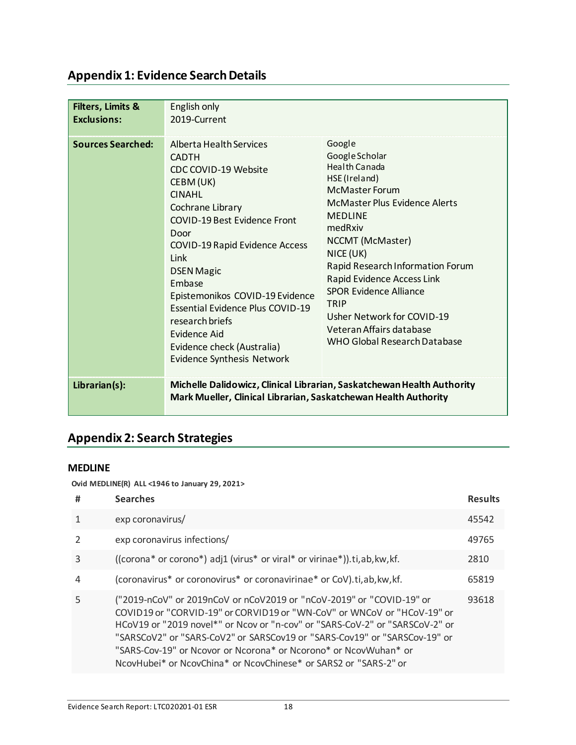# **Appendix 1: Evidence Search Details**

| <b>Filters, Limits &amp;</b> | English only                                                                                                                                                                                                                                                                                                                                                                                                                         |                                                                                                                                                                                                                                                                                                                                                                                                |
|------------------------------|--------------------------------------------------------------------------------------------------------------------------------------------------------------------------------------------------------------------------------------------------------------------------------------------------------------------------------------------------------------------------------------------------------------------------------------|------------------------------------------------------------------------------------------------------------------------------------------------------------------------------------------------------------------------------------------------------------------------------------------------------------------------------------------------------------------------------------------------|
| <b>Exclusions:</b>           | 2019-Current                                                                                                                                                                                                                                                                                                                                                                                                                         |                                                                                                                                                                                                                                                                                                                                                                                                |
| <b>Sources Searched:</b>     | Alberta Health Services<br><b>CADTH</b><br>CDC COVID-19 Website<br>CEBM (UK)<br><b>CINAHL</b><br>Cochrane Library<br><b>COVID-19 Best Evidence Front</b><br>Door<br><b>COVID-19 Rapid Evidence Access</b><br>Link<br><b>DSEN Magic</b><br>Embase<br>Epistemonikos COVID-19 Evidence<br><b>Essential Evidence Plus COVID-19</b><br>research briefs<br>Evidence Aid<br>Evidence check (Australia)<br><b>Evidence Synthesis Network</b> | Google<br>Google Scholar<br>Health Canada<br>HSE (Ireland)<br><b>McMaster Forum</b><br>McMaster Plus Evidence Alerts<br><b>MEDLINE</b><br>medRxiv<br>NCCMT (McMaster)<br>NICE (UK)<br>Rapid Research Information Forum<br>Rapid Evidence Access Link<br><b>SPOR Evidence Alliance</b><br><b>TRIP</b><br>Usher Network for COVID-19<br>Veteran Affairs database<br>WHO Global Research Database |
| Librarian(s):                | Mark Mueller, Clinical Librarian, Saskatchewan Health Authority                                                                                                                                                                                                                                                                                                                                                                      | Michelle Dalidowicz, Clinical Librarian, Saskatchewan Health Authority                                                                                                                                                                                                                                                                                                                         |

# **Appendix 2: Search Strategies**

### **MEDLINE**

**Ovid MEDLINE(R) ALL <1946 to January 29, 2021>**

| #             | <b>Searches</b>                                                                                                                                                                                                                                                                                                                                                                                                                                      | <b>Results</b> |
|---------------|------------------------------------------------------------------------------------------------------------------------------------------------------------------------------------------------------------------------------------------------------------------------------------------------------------------------------------------------------------------------------------------------------------------------------------------------------|----------------|
|               | exp coronavirus/                                                                                                                                                                                                                                                                                                                                                                                                                                     | 45542          |
| $\mathcal{P}$ | exp coronavirus infections/                                                                                                                                                                                                                                                                                                                                                                                                                          | 49765          |
| 3             | ((corona* or corono*) adj1 (virus* or viral* or virinae*)).ti,ab, kw, kf.                                                                                                                                                                                                                                                                                                                                                                            | 2810           |
| 4             | (coronavirus* or coronovirus* or coronavirinae* or CoV).ti, ab, kw, kf.                                                                                                                                                                                                                                                                                                                                                                              | 65819          |
| 5             | ("2019-nCoV" or 2019nCoV or nCoV2019 or "nCoV-2019" or "COVID-19" or<br>COVID19 or "CORVID-19" or CORVID19 or "WN-CoV" or WNCoV or "HCoV-19" or<br>HCoV19 or "2019 novel*" or Ncov or "n-cov" or "SARS-CoV-2" or "SARSCoV-2" or<br>"SARSCoV2" or "SARS-CoV2" or SARSCov19 or "SARS-Cov19" or "SARSCov-19" or<br>"SARS-Cov-19" or Ncovor or Ncorona* or Ncorono* or NcovWuhan* or<br>NcovHubei* or NcovChina* or NcovChinese* or SARS2 or "SARS-2" or | 93618          |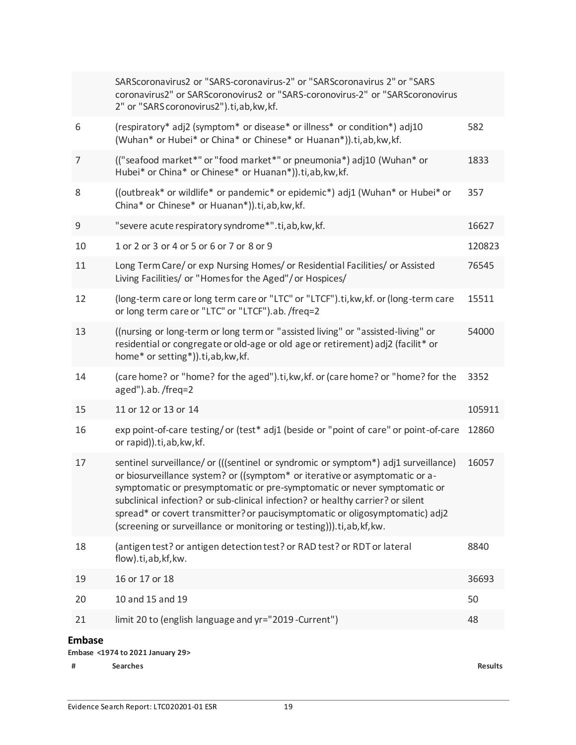|                | SARScoronavirus2 or "SARS-coronavirus-2" or "SARScoronavirus 2" or "SARS<br>coronavirus2" or SARScoronovirus2 or "SARS-coronovirus-2" or "SARScoronovirus<br>2" or "SARS coronovirus2").ti, ab, kw, kf.                                                                                                                                                                                                                                                                                    |                |  |  |
|----------------|--------------------------------------------------------------------------------------------------------------------------------------------------------------------------------------------------------------------------------------------------------------------------------------------------------------------------------------------------------------------------------------------------------------------------------------------------------------------------------------------|----------------|--|--|
| 6              | (respiratory* adj2 (symptom* or disease* or illness* or condition*) adj10<br>(Wuhan* or Hubei* or China* or Chinese* or Huanan*)).ti,ab, kw, kf.                                                                                                                                                                                                                                                                                                                                           | 582            |  |  |
| $\overline{7}$ | (("seafood market*" or "food market*" or pneumonia*) adj10 (Wuhan* or<br>Hubei* or China* or Chinese* or Huanan*)).ti,ab,kw,kf.                                                                                                                                                                                                                                                                                                                                                            | 1833           |  |  |
| 8              | ((outbreak* or wildlife* or pandemic* or epidemic*) adj1 (Wuhan* or Hubei* or<br>China* or Chinese* or Huanan*)).ti,ab,kw,kf.                                                                                                                                                                                                                                                                                                                                                              | 357            |  |  |
| 9              | "severe acute respiratory syndrome*".ti, ab, kw, kf.                                                                                                                                                                                                                                                                                                                                                                                                                                       | 16627          |  |  |
| 10             | 1 or 2 or 3 or 4 or 5 or 6 or 7 or 8 or 9                                                                                                                                                                                                                                                                                                                                                                                                                                                  | 120823         |  |  |
| 11             | Long Term Care/ or exp Nursing Homes/ or Residential Facilities/ or Assisted<br>Living Facilities/ or "Homes for the Aged"/ or Hospices/                                                                                                                                                                                                                                                                                                                                                   | 76545          |  |  |
| 12             | (long-term care or long term care or "LTC" or "LTCF").ti, kw, kf. or (long-term care<br>or long term care or "LTC" or "LTCF").ab. /freq=2                                                                                                                                                                                                                                                                                                                                                  | 15511          |  |  |
| 13             | ((nursing or long-term or long term or "assisted living" or "assisted-living" or<br>residential or congregate or old-age or old age or retirement) adj2 (facilit* or<br>home* or setting*)).ti, ab, kw, kf.                                                                                                                                                                                                                                                                                | 54000          |  |  |
| 14             | (care home? or "home? for the aged").ti, kw, kf. or (care home? or "home? for the<br>aged").ab./freq=2                                                                                                                                                                                                                                                                                                                                                                                     | 3352           |  |  |
| 15             | 11 or 12 or 13 or 14                                                                                                                                                                                                                                                                                                                                                                                                                                                                       | 105911         |  |  |
| 16             | exp point-of-care testing/or (test* adj1 (beside or "point of care" or point-of-care<br>or rapid)).ti, ab, kw, kf.                                                                                                                                                                                                                                                                                                                                                                         | 12860          |  |  |
| 17             | sentinel surveillance/ or (((sentinel or syndromic or symptom*) adj1 surveillance)<br>or biosurveillance system? or ((symptom* or iterative or asymptomatic or a-<br>symptomatic or presymptomatic or pre-symptomatic or never symptomatic or<br>subclinical infection? or sub-clinical infection? or healthy carrier? or silent<br>spread* or covert transmitter? or paucisymptomatic or oligosymptomatic) adj2<br>(screening or surveillance or monitoring or testing))).ti, ab, kf, kw. | 16057          |  |  |
| 18             | (antigen test? or antigen detection test? or RAD test? or RDT or lateral<br>flow).ti,ab,kf,kw.                                                                                                                                                                                                                                                                                                                                                                                             | 8840           |  |  |
| 19             | 16 or 17 or 18                                                                                                                                                                                                                                                                                                                                                                                                                                                                             | 36693          |  |  |
| 20             | 10 and 15 and 19                                                                                                                                                                                                                                                                                                                                                                                                                                                                           | 50             |  |  |
| 21             | limit 20 to (english language and yr="2019 -Current")                                                                                                                                                                                                                                                                                                                                                                                                                                      | 48             |  |  |
|                | <b>Embase</b><br>Embase <1974 to 2021 January 29>                                                                                                                                                                                                                                                                                                                                                                                                                                          |                |  |  |
| #              | <b>Searches</b>                                                                                                                                                                                                                                                                                                                                                                                                                                                                            | <b>Results</b> |  |  |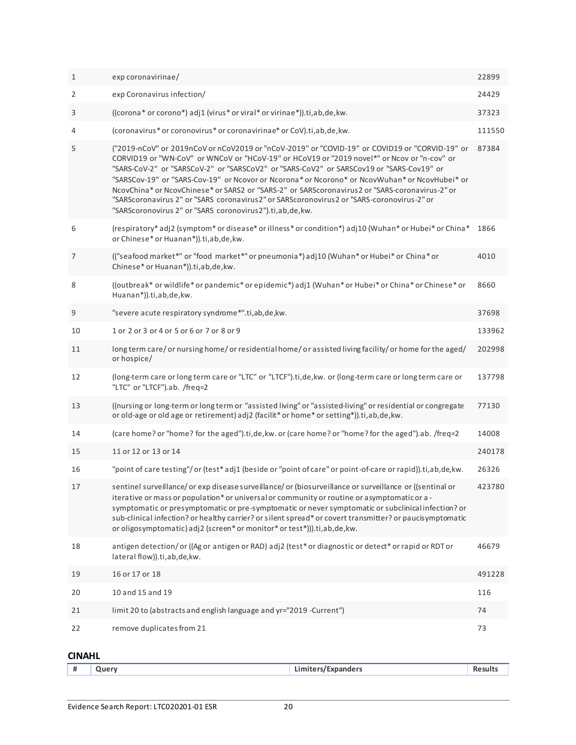| $\mathbf{1}$ | exp coronavirinae/                                                                                                                                                                                                                                                                                                                                                                                                                                                                                                                                                                                                                                     | 22899  |
|--------------|--------------------------------------------------------------------------------------------------------------------------------------------------------------------------------------------------------------------------------------------------------------------------------------------------------------------------------------------------------------------------------------------------------------------------------------------------------------------------------------------------------------------------------------------------------------------------------------------------------------------------------------------------------|--------|
| 2            | exp Coronavirus infection/                                                                                                                                                                                                                                                                                                                                                                                                                                                                                                                                                                                                                             | 24429  |
| 3            | ((corona* or corono*) adj1 (virus* or viral* or virinae*)).ti,ab,de, kw.                                                                                                                                                                                                                                                                                                                                                                                                                                                                                                                                                                               | 37323  |
| 4            | (coronavirus* or coronovirus* or coronavirinae* or CoV).ti, ab, de, kw.                                                                                                                                                                                                                                                                                                                                                                                                                                                                                                                                                                                | 111550 |
| 5            | ("2019-nCoV" or 2019nCoV or nCoV2019 or "nCoV-2019" or "COVID-19" or COVID19 or "CORVID-19" or<br>CORVID19 or "WN-CoV" or WNCoV or "HCoV-19" or HCoV19 or "2019 novel*" or Ncov or "n-cov" or<br>"SARS-CoV-2" or "SARSCoV-2" or "SARSCoV2" or "SARS-CoV2" or SARSCov19 or "SARS-Cov19" or<br>"SARSCov-19" or "SARS-Cov-19" or Ncovor or Ncorona* or Ncorono* or NcovWuhan* or NcovHubei* or<br>NcovChina* or NcovChinese* or SARS2 or "SARS-2" or SARScoronavirus2 or "SARS-coronavirus-2" or<br>"SARScoronavirus 2" or "SARS coronavirus2" or SARScoronovirus2 or "SARS-coronovirus-2" or<br>"SARScoronovirus 2" or "SARS coronovirus2").ti,ab,de,kw. | 87384  |
| 6            | (respiratory*adj2 (symptom* or disease* or illness* or condition*) adj10 (Wuhan* or Hubei* or China*<br>or Chinese* or Huanan*)).ti,ab,de,kw.                                                                                                                                                                                                                                                                                                                                                                                                                                                                                                          | 1866   |
| 7            | (("seafood market*" or "food market*" or pneumonia*) adj10 (Wuhan* or Hubei* or China* or<br>Chinese* or Huanan*)).ti,ab,de, kw.                                                                                                                                                                                                                                                                                                                                                                                                                                                                                                                       | 4010   |
| 8            | ((outbreak* or wildlife* or pandemic* or epidemic*) adj1 (Wuhan* or Hubei* or China* or Chinese* or<br>Huanan*)).ti,ab,de,kw.                                                                                                                                                                                                                                                                                                                                                                                                                                                                                                                          | 8660   |
| 9            | "severe acute respiratory syndrome*".ti,ab,de,kw.                                                                                                                                                                                                                                                                                                                                                                                                                                                                                                                                                                                                      | 37698  |
| 10           | 1 or 2 or 3 or 4 or 5 or 6 or 7 or 8 or 9                                                                                                                                                                                                                                                                                                                                                                                                                                                                                                                                                                                                              | 133962 |
| 11           | long term care/or nursing home/or residential home/or assisted living facility/or home for the aged/<br>or hospice/                                                                                                                                                                                                                                                                                                                                                                                                                                                                                                                                    | 202998 |
| 12           | (long-term care or long term care or "LTC" or "LTCF").ti,de, kw. or (long-term care or long term care or<br>"LTC" or "LTCF").ab. /freq=2                                                                                                                                                                                                                                                                                                                                                                                                                                                                                                               | 137798 |
| 13           | ((nursing or long-term or long term or "assisted living" or "assisted-living" or residential or congregate<br>or old-age or old age or retirement) adj2 (facilit* or home* or setting*)).ti,ab,de, kw.                                                                                                                                                                                                                                                                                                                                                                                                                                                 | 77130  |
| 14           | (care home? or "home? for the aged").ti,de, kw. or (care home? or "home? for the aged").ab. /freq=2                                                                                                                                                                                                                                                                                                                                                                                                                                                                                                                                                    | 14008  |
| 15           | 11 or 12 or 13 or 14                                                                                                                                                                                                                                                                                                                                                                                                                                                                                                                                                                                                                                   | 240178 |
| 16           | "point of care testing"/or (test* adj1 (beside or "point of care" or point-of-care or rapid)).ti,ab,de,kw.                                                                                                                                                                                                                                                                                                                                                                                                                                                                                                                                             | 26326  |
| 17           | sentinel surveillance/ or exp disease surveillance/ or (biosurveillance or surveillance or ((sentinal or<br>iterative or mass or population* or universal or community or routine or asymptomatic or a -<br>symptomatic or presymptomatic or pre-symptomatic or never symptomatic or subclinical infection? or<br>sub-clinical infection? or healthy carrier? or silent spread* or covert transmitter? or paucisymptomatic<br>or oligosymptomatic) adj2 (screen* or monitor* or test*))).ti,ab,de,kw.                                                                                                                                                  | 423780 |
| 18           | antigen detection/or ((Ag or antigen or RAD) adj2 (test* or diagnostic or detect* or rapid or RDT or<br>lateral flow)).ti,ab,de,kw.                                                                                                                                                                                                                                                                                                                                                                                                                                                                                                                    | 46679  |
| 19           | 16 or 17 or 18                                                                                                                                                                                                                                                                                                                                                                                                                                                                                                                                                                                                                                         | 491228 |
| 20           | 10 and 15 and 19                                                                                                                                                                                                                                                                                                                                                                                                                                                                                                                                                                                                                                       | 116    |
| 21           | limit 20 to (abstracts and english language and yr="2019 -Current")                                                                                                                                                                                                                                                                                                                                                                                                                                                                                                                                                                                    | 74     |
| 22           | remove duplicates from 21                                                                                                                                                                                                                                                                                                                                                                                                                                                                                                                                                                                                                              | 73     |

# **CINAHL**

|  | π. | ומונ | .<br>- - -<br>.<br>----<br>nne<br>anucio<br>--------- | . |
|--|----|------|-------------------------------------------------------|---|
|--|----|------|-------------------------------------------------------|---|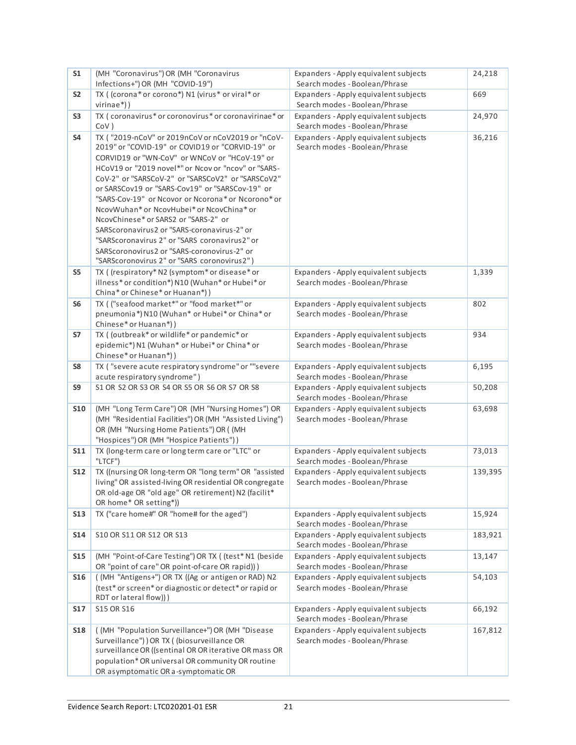| S <sub>1</sub> | (MH "Coronavirus") OR (MH "Coronavirus                                                                                                                                                                                                                                                                                                                                                                                                                                                                                                                                                                                                                         | Expanders - Apply equivalent subjects                                  | 24,218  |
|----------------|----------------------------------------------------------------------------------------------------------------------------------------------------------------------------------------------------------------------------------------------------------------------------------------------------------------------------------------------------------------------------------------------------------------------------------------------------------------------------------------------------------------------------------------------------------------------------------------------------------------------------------------------------------------|------------------------------------------------------------------------|---------|
|                | Infections+") OR (MH "COVID-19")                                                                                                                                                                                                                                                                                                                                                                                                                                                                                                                                                                                                                               | Search modes - Boolean/Phrase                                          |         |
| S <sub>2</sub> | TX ((corona*or corono*) N1 (virus* or viral* or                                                                                                                                                                                                                                                                                                                                                                                                                                                                                                                                                                                                                | Expanders - Apply equivalent subjects                                  | 669     |
|                | $virinae*)$ )                                                                                                                                                                                                                                                                                                                                                                                                                                                                                                                                                                                                                                                  | Search modes - Boolean/Phrase                                          |         |
| S <sub>3</sub> | TX (coronavirus* or coronovirus* or coronavirinae* or<br>CoV)                                                                                                                                                                                                                                                                                                                                                                                                                                                                                                                                                                                                  | Expanders - Apply equivalent subjects<br>Search modes - Boolean/Phrase | 24,970  |
| S4             | TX ("2019-nCoV" or 2019nCoV or nCoV2019 or "nCoV-<br>2019" or "COVID-19" or COVID19 or "CORVID-19" or<br>CORVID19 or "WN-CoV" or WNCoV or "HCoV-19" or<br>HCoV19 or "2019 novel*" or Ncov or "ncov" or "SARS-<br>CoV-2" or "SARSCoV-2" or "SARSCoV2" or "SARSCoV2"<br>or SARSCov19 or "SARS-Cov19" or "SARSCov-19" or<br>"SARS-Cov-19" or Ncovor or Ncorona* or Ncorono* or<br>NcovWuhan* or NcovHubei* or NcovChina* or<br>NcovChinese* or SARS2 or "SARS-2" or<br>SARScoronavirus2 or "SARS-coronavirus-2" or<br>"SARScoronavirus 2" or "SARS coronavirus2" or<br>SARScoronovirus2 or "SARS-coronovirus-2" or<br>"SARScoronovirus 2" or "SARS coronovirus2") | Expanders - Apply equivalent subjects<br>Search modes - Boolean/Phrase | 36,216  |
| S <sub>5</sub> | TX ( (respiratory* N2 (symptom* or disease* or<br>illness* or condition*) N10 (Wuhan* or Hubei* or<br>China* or Chinese* or Huanan*))                                                                                                                                                                                                                                                                                                                                                                                                                                                                                                                          | Expanders - Apply equivalent subjects<br>Search modes - Boolean/Phrase | 1,339   |
| S <sub>6</sub> | TX ( ("seafood market*" or "food market*" or<br>pneumonia*) N10 (Wuhan* or Hubei* or China* or<br>Chinese* or Huanan*))                                                                                                                                                                                                                                                                                                                                                                                                                                                                                                                                        | Expanders - Apply equivalent subjects<br>Search modes - Boolean/Phrase | 802     |
| S7             | TX ((outbreak* or wildlife* or pandemic* or<br>epidemic*) N1 (Wuhan* or Hubei* or China* or<br>Chinese* or Huanan*))                                                                                                                                                                                                                                                                                                                                                                                                                                                                                                                                           | Expanders - Apply equivalent subjects<br>Search modes - Boolean/Phrase | 934     |
| S8             | TX ("severe acute respiratory syndrome" or ""severe<br>acute respiratory syndrome")                                                                                                                                                                                                                                                                                                                                                                                                                                                                                                                                                                            | Expanders - Apply equivalent subjects<br>Search modes - Boolean/Phrase | 6,195   |
| S9             | S1 OR S2 OR S3 OR S4 OR S5 OR S6 OR S7 OR S8                                                                                                                                                                                                                                                                                                                                                                                                                                                                                                                                                                                                                   | Expanders - Apply equivalent subjects<br>Search modes - Boolean/Phrase | 50,208  |
| <b>S10</b>     | (MH "Long Term Care") OR (MH "Nursing Homes") OR<br>(MH "Residential Facilities") OR (MH "Assisted Living")<br>OR (MH "Nursing Home Patients") OR ((MH<br>"Hospices") OR (MH "Hospice Patients"))                                                                                                                                                                                                                                                                                                                                                                                                                                                              | Expanders - Apply equivalent subjects<br>Search modes - Boolean/Phrase | 63,698  |
| <b>S11</b>     | TX (long-term care or long term care or "LTC" or<br>"LTCF")                                                                                                                                                                                                                                                                                                                                                                                                                                                                                                                                                                                                    | Expanders - Apply equivalent subjects<br>Search modes - Boolean/Phrase | 73,013  |
| <b>S12</b>     | TX ((nursing OR long-term OR "long term" OR "assisted<br>living" OR assisted-living OR residential OR congregate<br>OR old-age OR "old age" OR retirement) N2 (facilit*<br>OR home* OR setting*))                                                                                                                                                                                                                                                                                                                                                                                                                                                              | Expanders - Apply equivalent subjects<br>Search modes - Boolean/Phrase | 139,395 |
| <b>S13</b>     | TX ("care home#" OR "home# for the aged")                                                                                                                                                                                                                                                                                                                                                                                                                                                                                                                                                                                                                      | Expanders - Apply equivalent subjects<br>Search modes - Boolean/Phrase | 15,924  |
| <b>S14</b>     | S10 OR S11 OR S12 OR S13                                                                                                                                                                                                                                                                                                                                                                                                                                                                                                                                                                                                                                       | Expanders - Apply equivalent subjects<br>Search modes - Boolean/Phrase | 183,921 |
| <b>S15</b>     | (MH "Point-of-Care Testing") OR TX ((test* N1 (beside<br>OR "point of care" OR point-of-care OR rapid)))                                                                                                                                                                                                                                                                                                                                                                                                                                                                                                                                                       | Expanders - Apply equivalent subjects<br>Search modes - Boolean/Phrase | 13,147  |
| <b>S16</b>     | ((MH "Antigens+") OR TX ((Ag or antigen or RAD) N2<br>(test* or screen* or diagnostic or detect* or rapid or<br>RDT or lateral flow)))                                                                                                                                                                                                                                                                                                                                                                                                                                                                                                                         | Expanders - Apply equivalent subjects<br>Search modes - Boolean/Phrase | 54,103  |
| <b>S17</b>     | S15 OR S16                                                                                                                                                                                                                                                                                                                                                                                                                                                                                                                                                                                                                                                     | Expanders - Apply equivalent subjects<br>Search modes - Boolean/Phrase | 66,192  |
| <b>S18</b>     | ((MH "Population Surveillance+") OR (MH "Disease<br>Surveillance") ) OR TX ( (biosurveillance OR<br>surveillance OR ((sentinal OR OR iterative OR mass OR<br>population* OR universal OR community OR routine<br>OR asymptomatic OR a-symptomatic OR                                                                                                                                                                                                                                                                                                                                                                                                           | Expanders - Apply equivalent subjects<br>Search modes - Boolean/Phrase | 167,812 |